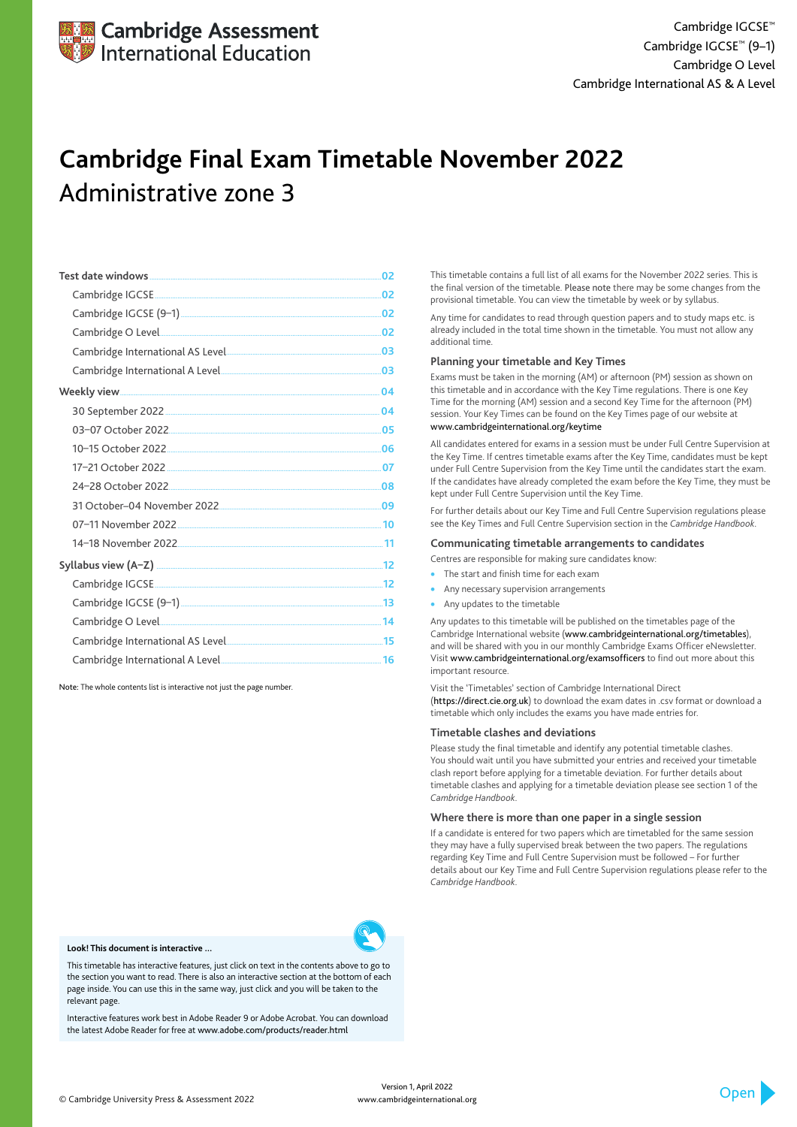|                                                                                                                                                                                                                                     | 02  |
|-------------------------------------------------------------------------------------------------------------------------------------------------------------------------------------------------------------------------------------|-----|
|                                                                                                                                                                                                                                     |     |
|                                                                                                                                                                                                                                     | .02 |
|                                                                                                                                                                                                                                     |     |
|                                                                                                                                                                                                                                     |     |
|                                                                                                                                                                                                                                     |     |
|                                                                                                                                                                                                                                     |     |
|                                                                                                                                                                                                                                     |     |
|                                                                                                                                                                                                                                     | .05 |
|                                                                                                                                                                                                                                     |     |
|                                                                                                                                                                                                                                     |     |
|                                                                                                                                                                                                                                     | .08 |
|                                                                                                                                                                                                                                     |     |
|                                                                                                                                                                                                                                     |     |
|                                                                                                                                                                                                                                     |     |
|                                                                                                                                                                                                                                     |     |
|                                                                                                                                                                                                                                     |     |
|                                                                                                                                                                                                                                     |     |
| Cambridge O Level <b>2008</b> 20 20 20 20 21 22 32 33 34 35 36 36 37 38 36 37 36 37 38 37 38 37 38 37 38 37 38 37 38 37 38 38 39 30 31 32 33 33 34 35 35 36 37 38 39 30 31 32 33 34 35 36 37 38 38 39 30 31 32 33 33 34 35 35 36 37 |     |
|                                                                                                                                                                                                                                     |     |
|                                                                                                                                                                                                                                     |     |

- The start and finish time for each exam
- Any necessary supervision arrangements
- Any updates to the timetable

Note: The whole contents list is interactive not just the page number.

This timetable contains a full list of all exams for the November 2022 series. This is the final version of the timetable. Please note there may be some changes from the provisional timetable. You can view the timetable by week or by syllabus.

Any time for candidates to read through question papers and to study maps etc. is already included in the total time shown in the timetable. You must not allow any additional time.

#### **Planning your timetable and Key Times**

Exams must be taken in the morning (AM) or afternoon (PM) session as shown on this timetable and in accordance with the Key Time regulations. There is one Key Time for the morning (AM) session and a second Key Time for the afternoon (PM) session. Your Key Times can be found on the Key Times page of our website at www.cambridgeinternational.org/keytime

All candidates entered for exams in a session must be under Full Centre Supervision at the Key Time. If centres timetable exams after the Key Time, candidates must be kept under Full Centre Supervision from the Key Time until the candidates start the exam. If the candidates have already completed the exam before the Key Time, they must be kept under Full Centre Supervision until the Key Time.

For further details about our Key Time and Full Centre Supervision regulations please see the Key Times and Full Centre Supervision section in the *Cambridge Handbook*.

#### **Communicating timetable arrangements to candidates**

Centres are responsible for making sure candidates know:

Any updates to this timetable will be published on the timetables page of the Cambridge International website (www.cambridgeinternational.org/timetables), and will be shared with you in our monthly Cambridge Exams Officer eNewsletter. Visit www.cambridgeinternational.org/examsofficers to find out more about this important resource.

Visit the 'Timetables' section of Cambridge International Direct (https://direct.cie.org.uk) to download the exam dates in .csv format or download a timetable which only includes the exams you have made entries for.

#### **Timetable clashes and deviations**

Please study the final timetable and identify any potential timetable clashes. You should wait until you have submitted your entries and received your timetable clash report before applying for a timetable deviation. For further details about timetable clashes and applying for a timetable deviation please see section 1 of the *Cambridge Handbook*.

#### **Where there is more than one paper in a single session**

If a candidate is entered for two papers which are timetabled for the same session they may have a fully supervised break between the two papers. The regulations

regarding Key Time and Full Centre Supervision must be followed – For further details about our Key Time and Full Centre Supervision regulations please refer to the *Cambridge Handbook*.



# **Cambridge Final Exam Timetable November 2022** Administrative zone 3

© Cambridge University Press & Assessment 2022

#### **Look! This document is interactive ...**

This timetable has interactive features, just click on text in the contents above to go to the section you want to read. There is also an interactive section at the bottom of each page inside. You can use this in the same way, just click and you will be taken to the relevant page.

Interactive features work best in Adobe Reader 9 or Adobe Acrobat. You can download the latest Adobe Reader for free at www.adobe.com/products/reader.html

> Version 1, April 2022 www.cambridgeinternational.org

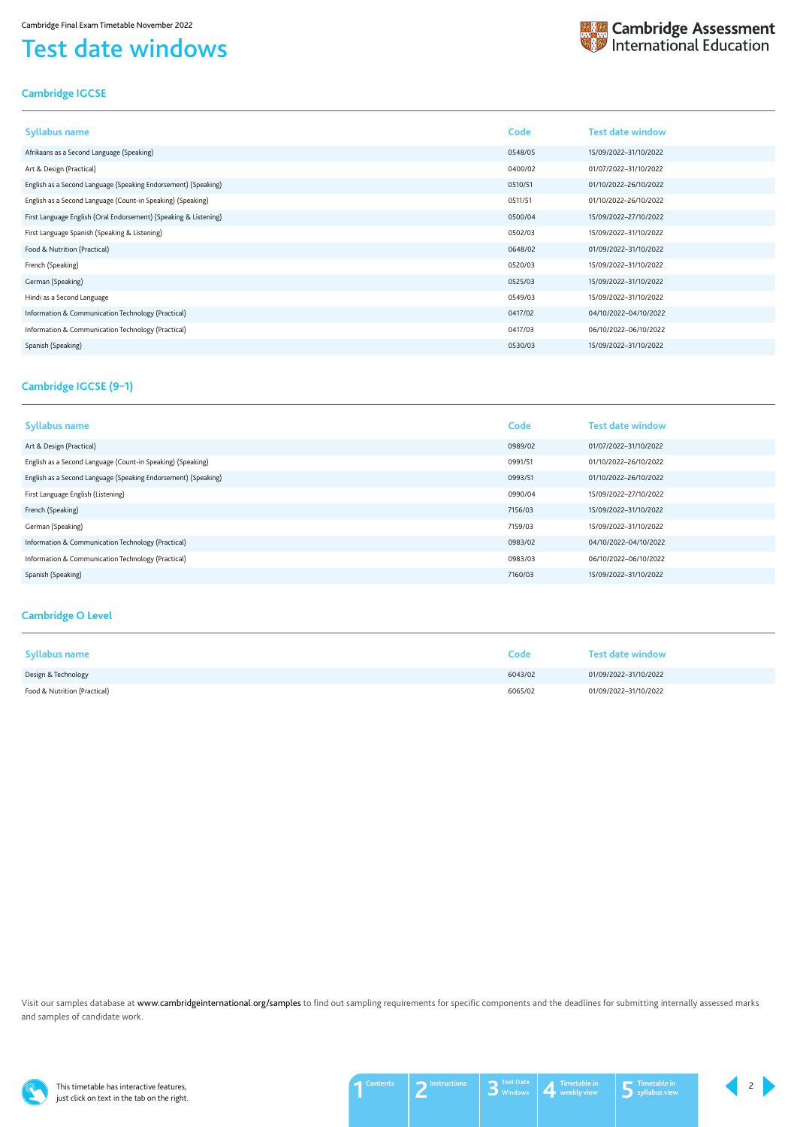This timetable has interactive features, just click on text in the tab on the right.

# <span id="page-1-0"></span>Test date windows



## <span id="page-1-1"></span>**Cambridge IGCSE**

| <b>Syllabus name</b>                                             | Code    | <b>Test date window</b> |
|------------------------------------------------------------------|---------|-------------------------|
| Afrikaans as a Second Language (Speaking)                        | 0548/05 | 15/09/2022-31/10/2022   |
| Art & Design (Practical)                                         | 0400/02 | 01/07/2022-31/10/2022   |
| English as a Second Language (Speaking Endorsement) (Speaking)   | 0510/51 | 01/10/2022-26/10/2022   |
| English as a Second Language (Count-in Speaking) (Speaking)      | 0511/51 | 01/10/2022-26/10/2022   |
| First Language English (Oral Endorsement) (Speaking & Listening) | 0500/04 | 15/09/2022-27/10/2022   |
| First Language Spanish (Speaking & Listening)                    | 0502/03 | 15/09/2022-31/10/2022   |
| Food & Nutrition (Practical)                                     | 0648/02 | 01/09/2022-31/10/2022   |
| French (Speaking)                                                | 0520/03 | 15/09/2022-31/10/2022   |
| German (Speaking)                                                | 0525/03 | 15/09/2022-31/10/2022   |
| Hindi as a Second Language                                       | 0549/03 | 15/09/2022-31/10/2022   |
| Information & Communication Technology (Practical)               | 0417/02 | 04/10/2022-04/10/2022   |
| Information & Communication Technology (Practical)               | 0417/03 | 06/10/2022-06/10/2022   |
| Spanish (Speaking)                                               | 0530/03 | 15/09/2022-31/10/2022   |

Visit our samples database at www.cambridgeinternational.org/samples to find out sampling requirements for specific components and the deadlines for submitting internally assessed marks and samples of candidate work.



### <span id="page-1-3"></span>**Cambridge O Level**

| <b>Syllabus name</b>         | Code    | <b>Test date window</b> |
|------------------------------|---------|-------------------------|
| Design & Technology          | 6043/02 | 01/09/2022-31/10/2022   |
| Food & Nutrition (Practical) | 6065/02 | 01/09/2022-31/10/2022   |

| <b>Syllabus name</b>                                           | Code    | <b>Test date window</b> |
|----------------------------------------------------------------|---------|-------------------------|
| Art & Design (Practical)                                       | 0989/02 | 01/07/2022-31/10/2022   |
| English as a Second Language (Count-in Speaking) (Speaking)    | 0991/51 | 01/10/2022-26/10/2022   |
| English as a Second Language (Speaking Endorsement) (Speaking) | 0993/51 | 01/10/2022-26/10/2022   |
| First Language English (Listening)                             | 0990/04 | 15/09/2022-27/10/2022   |
| French (Speaking)                                              | 7156/03 | 15/09/2022-31/10/2022   |
| German (Speaking)                                              | 7159/03 | 15/09/2022-31/10/2022   |
| Information & Communication Technology (Practical)             | 0983/02 | 04/10/2022-04/10/2022   |
| Information & Communication Technology (Practical)             | 0983/03 | 06/10/2022-06/10/2022   |
| Spanish (Speaking)                                             | 7160/03 | 15/09/2022-31/10/2022   |

## <span id="page-1-2"></span>**Cambridge IGCSE (9–1)**



 $2 \mid$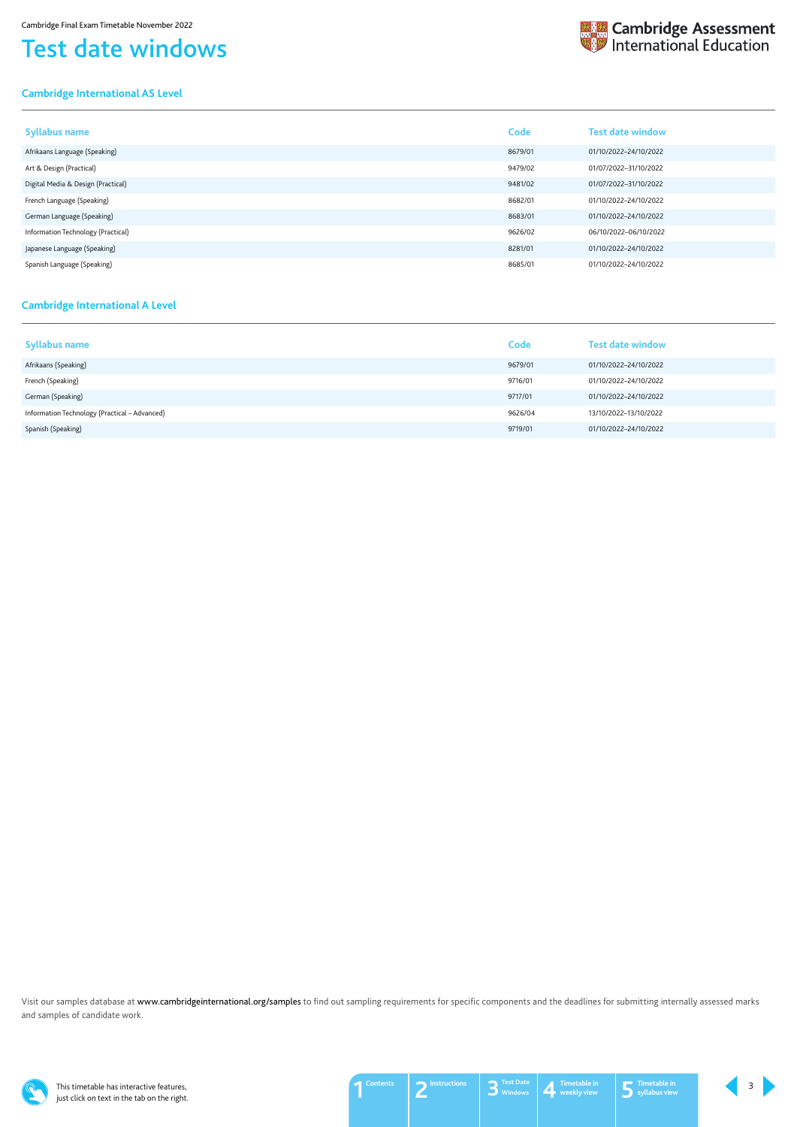This timetable has interactive features, just click on text in the tab on the right.

# Test date windows

### <span id="page-2-0"></span>**Cambridge International AS Level**

| <b>Syllabus name</b>               | Code    | <b>Test date window</b> |
|------------------------------------|---------|-------------------------|
| Afrikaans Language (Speaking)      | 8679/01 | 01/10/2022-24/10/2022   |
| Art & Design (Practical)           | 9479/02 | 01/07/2022-31/10/2022   |
| Digital Media & Design (Practical) | 9481/02 | 01/07/2022-31/10/2022   |
| French Language (Speaking)         | 8682/01 | 01/10/2022-24/10/2022   |
| German Language (Speaking)         | 8683/01 | 01/10/2022-24/10/2022   |
| Information Technology (Practical) | 9626/02 | 06/10/2022-06/10/2022   |
| Japanese Language (Speaking)       | 8281/01 | 01/10/2022-24/10/2022   |
| Spanish Language (Speaking)        | 8685/01 | 01/10/2022-24/10/2022   |

Visit our samples database at www.cambridgeinternational.org/samples to find out sampling requirements for specific components and the deadlines for submitting internally assessed marks and samples of candidate work.



### <span id="page-2-1"></span>**Cambridge International A Level**

| <b>Syllabus name</b>                          | Code    | <b>Test date window</b> |
|-----------------------------------------------|---------|-------------------------|
| Afrikaans (Speaking)                          | 9679/01 | 01/10/2022-24/10/2022   |
| French (Speaking)                             | 9716/01 | 01/10/2022-24/10/2022   |
| German (Speaking)                             | 9717/01 | 01/10/2022-24/10/2022   |
| Information Technology (Practical - Advanced) | 9626/04 | 13/10/2022-13/10/2022   |
| Spanish (Speaking)                            | 9719/01 | 01/10/2022-24/10/2022   |



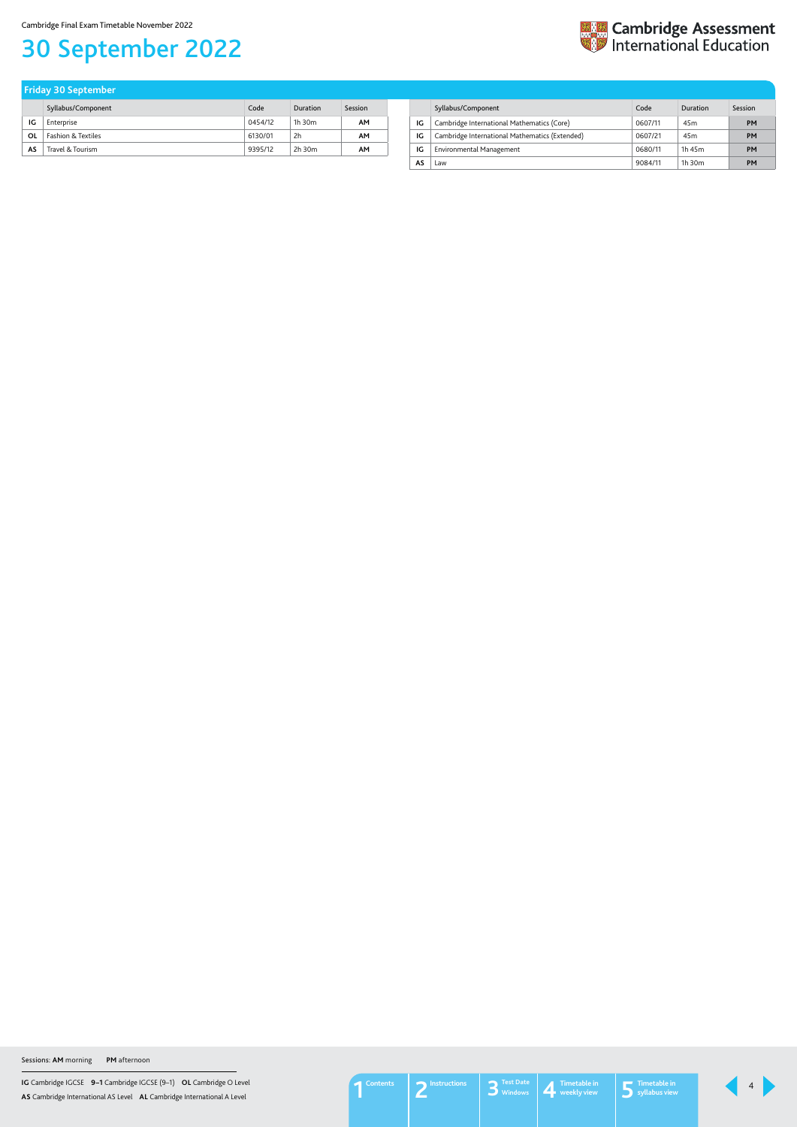**IG** Cambridge IGCSE **9–1** Cambridge IGCSE (9–1) **OL** Cambridge O Level **AS** Cambridge International AS Level **AL** Cambridge International A Level

Cambridge Final Exam Timetable November 2022

# <span id="page-3-1"></span>30 September 2022



|    | Syllabus/Component            | Code    | Duration       | Session |
|----|-------------------------------|---------|----------------|---------|
| IG | Enterprise                    | 0454/12 | $1h$ 30 $m$    | AΜ      |
| OL | <b>Fashion &amp; Textiles</b> | 6130/01 | 2 <sub>h</sub> | AΜ      |
| AS | Travel & Tourism              | 9395/12 | 2h 30m         | AΜ      |

| <b>Friday 30 September</b> |  |
|----------------------------|--|
|----------------------------|--|

<span id="page-3-0"></span>

|    | Syllabus/Component                             | Code    | Duration        | Session |
|----|------------------------------------------------|---------|-----------------|---------|
| IG | Cambridge International Mathematics (Core)     | 0607/11 | 45 <sub>m</sub> | PM      |
| IG | Cambridge International Mathematics (Extended) | 0607/21 | 45 <sub>m</sub> | PM      |
| IG | Environmental Management                       | 0680/11 | 1h 45m          | PM      |
| AS | Law                                            | 9084/11 | $1h$ 30 $m$     | PМ      |

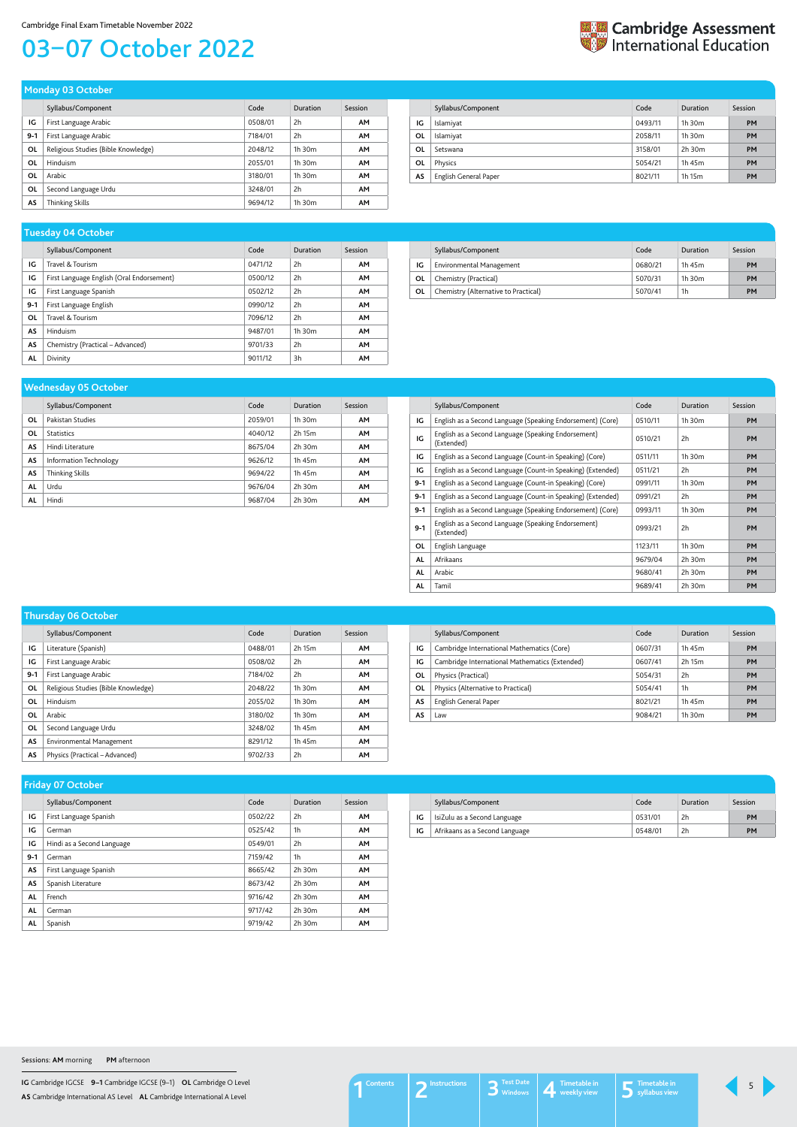**IG** Cambridge IGCSE **9–1** Cambridge IGCSE (9–1) **OL** Cambridge O Level **AS** Cambridge International AS Level **AL** Cambridge International A Level

# <span id="page-4-0"></span>03–07 October 2022



|       | Syllabus/Component                  | Code    | Duration    | Session   |
|-------|-------------------------------------|---------|-------------|-----------|
| IG    | First Language Arabic               | 0508/01 | 2h          | <b>AM</b> |
| $9-1$ | First Language Arabic               | 7184/01 | 2h          | <b>AM</b> |
| ΟL    | Religious Studies (Bible Knowledge) | 2048/12 | $1h$ 30 $m$ | <b>AM</b> |
| ΟL    | <b>Hinduism</b>                     | 2055/01 | $1h$ 30 $m$ | <b>AM</b> |
| OL    | Arabic                              | 3180/01 | $1h$ 30 $m$ | <b>AM</b> |
| ΟL    | Second Language Urdu                | 3248/01 | 2h          | <b>AM</b> |
| AS    | Thinking Skills                     | 9694/12 | $1h$ 30 $m$ | <b>AM</b> |

| <b>Monday 03 October</b> |  |  |  |
|--------------------------|--|--|--|
|                          |  |  |  |

|    | Syllabus/Component    | Code    | Duration    | Session   |
|----|-----------------------|---------|-------------|-----------|
| IG | Islamiyat             | 0493/11 | $1h$ 30 $m$ | <b>PM</b> |
| OL | Islamiyat             | 2058/11 | $1h$ 30 $m$ | <b>PM</b> |
| OL | Setswana              | 3158/01 | 2h 30m      | PM        |
| OL | Physics               | 5054/21 | 1h 45m      | <b>PM</b> |
| AS | English General Paper | 8021/11 | 1h 15m      | <b>PM</b> |

|       | Syllabus/Component                        | Code    | Duration       | Session   |
|-------|-------------------------------------------|---------|----------------|-----------|
| IG    | Travel & Tourism                          | 0471/12 | 2 <sub>h</sub> | <b>AM</b> |
| IG    | First Language English (Oral Endorsement) | 0500/12 | 2h             | <b>AM</b> |
| IG    | First Language Spanish                    | 0502/12 | 2h             | <b>AM</b> |
| $9-1$ | First Language English                    | 0990/12 | 2h             | <b>AM</b> |
| OL    | Travel & Tourism                          | 7096/12 | 2h             | <b>AM</b> |
| AS    | Hinduism                                  | 9487/01 | 1h 30m         | <b>AM</b> |
| AS    | Chemistry (Practical – Advanced)          | 9701/33 | 2h             | <b>AM</b> |
| AL    | Divinity                                  | 9011/12 | 3h             | <b>AM</b> |

### **Tuesday 04 October**

|    | Syllabus/Component                   | Code    | Duration    | Session   |
|----|--------------------------------------|---------|-------------|-----------|
| IG | Environmental Management             | 0680/21 | 1h 45m      | PМ        |
| OL | Chemistry (Practical)                | 5070/31 | $1h$ 30 $m$ | <b>PM</b> |
| 0L | Chemistry (Alternative to Practical) | 5070/41 | 1h          | PM        |

|    | -                      |         |          |           |
|----|------------------------|---------|----------|-----------|
|    | Syllabus/Component     | Code    | Duration | Session   |
| OL | Pakistan Studies       | 2059/01 | 1h 30m   | AM        |
| OL | <b>Statistics</b>      | 4040/12 | 2h 15m   | <b>AM</b> |
| AS | Hindi Literature       | 8675/04 | 2h 30m   | <b>AM</b> |
| AS | Information Technology | 9626/12 | 1h 45m   | <b>AM</b> |
| AS | Thinking Skills        | 9694/22 | 1h 45m   | AM        |
| AL | Urdu                   | 9676/04 | 2h 30m   | <b>AM</b> |
| AL | Hindi                  | 9687/04 | 2h 30m   | AM        |

#### **Wednesday 05 October**

|           | Syllabus/Component                                                | Code    | Duration    | Session   |
|-----------|-------------------------------------------------------------------|---------|-------------|-----------|
| IG        | English as a Second Language (Speaking Endorsement) (Core)        | 0510/11 | 1h.30m      | <b>PM</b> |
| IG        | English as a Second Language (Speaking Endorsement)<br>(Extended) | 0510/21 | 2h          | <b>PM</b> |
| IG        | English as a Second Language (Count-in Speaking) (Core)           | 0511/11 | 1h 30m      | <b>PM</b> |
| IG        | English as a Second Language (Count-in Speaking) (Extended)       | 0511/21 | 2h          | <b>PM</b> |
| $9 - 1$   | English as a Second Language (Count-in Speaking) (Core)           | 0991/11 | 1h.30m      | <b>PM</b> |
| $9-1$     | English as a Second Language (Count-in Speaking) (Extended)       | 0991/21 | 2h          | <b>PM</b> |
| $9 - 1$   | English as a Second Language (Speaking Endorsement) (Core)        | 0993/11 | 1h 30m      | <b>PM</b> |
| $9 - 1$   | English as a Second Language (Speaking Endorsement)<br>(Extended) | 0993/21 | 2h          | <b>PM</b> |
| OL        | English Language                                                  | 1123/11 | 1h 30m      | <b>PM</b> |
| AL        | Afrikaans                                                         | 9679/04 | $2h$ 30 $m$ | <b>PM</b> |
| AL        | Arabic                                                            | 9680/41 | 2h 30m      | <b>PM</b> |
| <b>AL</b> | Tamil                                                             | 9689/41 | $2h$ 30 $m$ | <b>PM</b> |

|       | Syllabus/Component                  | Code    | Duration | Session   |
|-------|-------------------------------------|---------|----------|-----------|
| IG    | Literature (Spanish)                | 0488/01 | 2h 15m   | <b>AM</b> |
| IG    | First Language Arabic               | 0508/02 | 2h       | <b>AM</b> |
| $9-1$ | First Language Arabic               | 7184/02 | 2h       | <b>AM</b> |
| 0L    | Religious Studies (Bible Knowledge) | 2048/22 | 1h 30m   | <b>AM</b> |
| ΟL    | Hinduism                            | 2055/02 | 1h 30m   | <b>AM</b> |
| ΟL    | Arabic                              | 3180/02 | 1h 30m   | <b>AM</b> |
| 0L    | Second Language Urdu                | 3248/02 | 1h 45m   | <b>AM</b> |
| AS    | Environmental Management            | 8291/12 | 1h 45m   | <b>AM</b> |
| AS    | Physics (Practical – Advanced)      | 9702/33 | 2h       | <b>AM</b> |

#### **Thursday 06 October**

|    | Syllabus/Component                             | Code    | Duration    | Session   |
|----|------------------------------------------------|---------|-------------|-----------|
| IG | Cambridge International Mathematics (Core)     | 0607/31 | 1h 45m      | <b>PM</b> |
| IG | Cambridge International Mathematics (Extended) | 0607/41 | 2h 15m      | <b>PM</b> |
| 0L | Physics (Practical)                            | 5054/31 | 2h          | <b>PM</b> |
| 0L | Physics (Alternative to Practical)             | 5054/41 | 1h          | <b>PM</b> |
| AS | English General Paper                          | 8021/21 | 1h 45m      | PM        |
| AS | Law                                            | 9084/21 | $1h$ 30 $m$ | <b>PM</b> |

|       | Syllabus/Component         | Code    | Duration    | Session   |
|-------|----------------------------|---------|-------------|-----------|
| IG    | First Language Spanish     | 0502/22 | 2h          | <b>AM</b> |
| IG    | German                     | 0525/42 | 1h          | <b>AM</b> |
| IG    | Hindi as a Second Language | 0549/01 | 2h          | <b>AM</b> |
| $9-1$ | German                     | 7159/42 | 1h          | <b>AM</b> |
| AS    | First Language Spanish     | 8665/42 | 2h 30m      | <b>AM</b> |
| AS    | Spanish Literature         | 8673/42 | $2h$ 30 $m$ | <b>AM</b> |
| AL    | French                     | 9716/42 | 2h 30m      | <b>AM</b> |
| AL    | German                     | 9717/42 | 2h 30m      | <b>AM</b> |
| AL    | Spanish                    | 9719/42 | 2h 30m      | <b>AM</b> |

### **Friday 07 October**

|    | Syllabus/Component             | Code    | Duration       | Session   |
|----|--------------------------------|---------|----------------|-----------|
| IG | IsiZulu as a Second Language   | 0531/01 | 2 <sub>h</sub> | <b>PM</b> |
| IG | Afrikaans as a Second Language | 0548/01 | 2 <sub>h</sub> | <b>PM</b> |

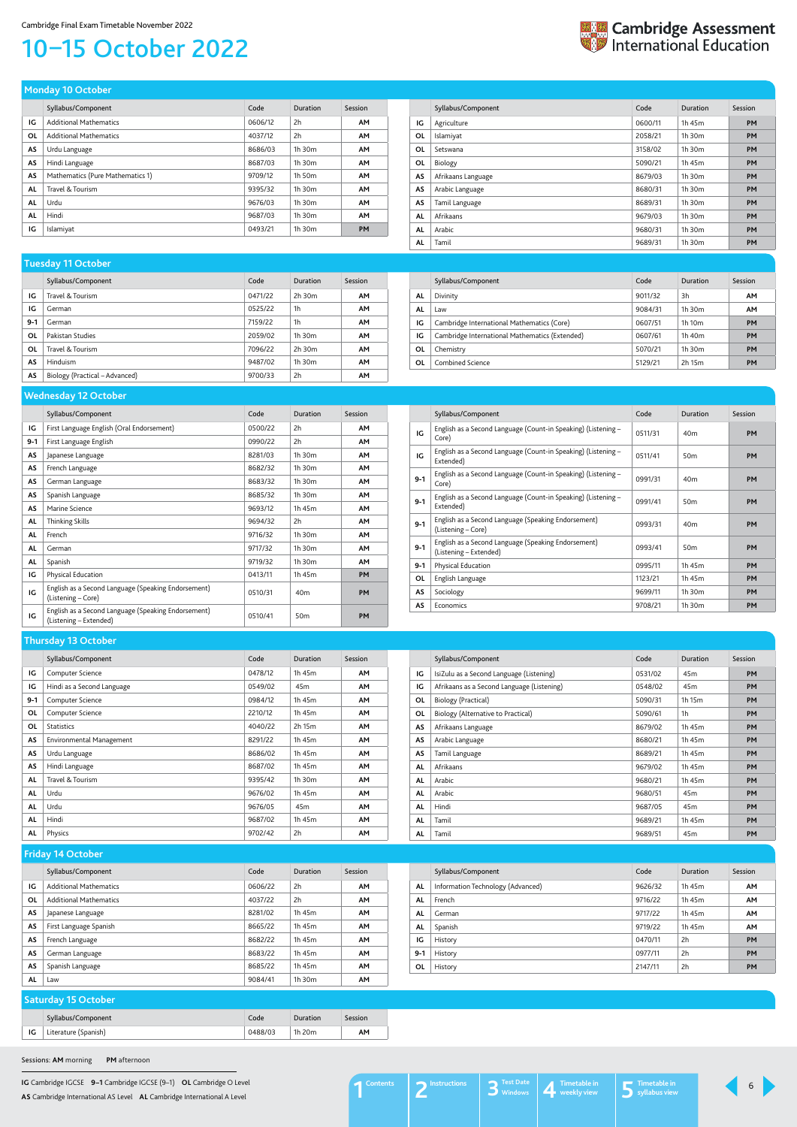**IG** Cambridge IGCSE **9–1** Cambridge IGCSE (9–1) **OL** Cambridge O Level **AS** Cambridge International AS Level **AL** Cambridge International A Level

# <span id="page-5-0"></span>10–15 October 2022

| <b>Extra</b> Cambridge Assessment<br><b>Extra International Education</b> |
|---------------------------------------------------------------------------|
|                                                                           |

|           | Syllabus/Component               | Code    | <b>Duration</b> | Session   |
|-----------|----------------------------------|---------|-----------------|-----------|
| ΙG        | <b>Additional Mathematics</b>    | 0606/12 | 2h              | <b>AM</b> |
| OL        | <b>Additional Mathematics</b>    | 4037/12 | 2h              | <b>AM</b> |
| AS        | Urdu Language                    | 8686/03 | 1h 30m          | <b>AM</b> |
| AS        | Hindi Language                   | 8687/03 | $1h$ 30 $m$     | <b>AM</b> |
| AS        | Mathematics (Pure Mathematics 1) | 9709/12 | 1h 50m          | <b>AM</b> |
| <b>AL</b> | Travel & Tourism                 | 9395/32 | 1h 30m          | <b>AM</b> |
| <b>AL</b> | Urdu                             | 9676/03 | 1h 30m          | <b>AM</b> |
| <b>AL</b> | Hindi                            | 9687/03 | 1h 30m          | <b>AM</b> |
| IG        | Islamiyat                        | 0493/21 | 1h 30m          | <b>PM</b> |

**Monday 10 October** 

|    | Syllabus/Component | Code    | Duration    | Session   |
|----|--------------------|---------|-------------|-----------|
| IG | Agriculture        | 0600/11 | 1h 45m      | <b>PM</b> |
| OL | Islamiyat          | 2058/21 | $1h$ 30 $m$ | <b>PM</b> |
| 0L | Setswana           | 3158/02 | 1h 30m      | <b>PM</b> |
| 0L | Biology            | 5090/21 | 1h 45m      | <b>PM</b> |
| AS | Afrikaans Language | 8679/03 | 1h 30m      | <b>PM</b> |
| AS | Arabic Language    | 8680/31 | 1h 30m      | <b>PM</b> |
| AS | Tamil Language     | 8689/31 | 1h 30m      | <b>PM</b> |
| AL | Afrikaans          | 9679/03 | 1h 30m      | <b>PM</b> |
| AL | Arabic             | 9680/31 | 1h 30m      | <b>PM</b> |
| AL | Tamil              | 9689/31 | 1h 30m      | <b>PM</b> |

| and the contract of the contract of the contract of the contract of the contract of the contract of the contract of |                                |         |             |           |
|---------------------------------------------------------------------------------------------------------------------|--------------------------------|---------|-------------|-----------|
|                                                                                                                     | Syllabus/Component             | Code    | Duration    | Session   |
| IG                                                                                                                  | Travel & Tourism               | 0471/22 | $2h$ 30 $m$ | <b>AM</b> |
| IG                                                                                                                  | German                         | 0525/22 | 1h          | <b>AM</b> |
| $9-1$                                                                                                               | German                         | 7159/22 | 1h          | <b>AM</b> |
| OL                                                                                                                  | Pakistan Studies               | 2059/02 | 1h 30m      | <b>AM</b> |
| ΟL                                                                                                                  | Travel & Tourism               | 7096/22 | 2h 30m      | <b>AM</b> |
| AS                                                                                                                  | <b>Hinduism</b>                | 9487/02 | $1h$ 30 $m$ | <b>AM</b> |
| AS                                                                                                                  | Biology (Practical – Advanced) | 9700/33 | 2h          | AM        |

#### **Tuesday 11 October**

|    | Syllabus/Component                             | Code    | Duration           | Session |
|----|------------------------------------------------|---------|--------------------|---------|
| AL | Divinity                                       | 9011/32 | 3h                 | AM      |
| AL | Law                                            | 9084/31 | $1h$ 30 $m$        | AM      |
| IG | Cambridge International Mathematics (Core)     | 0607/51 | 1h 10 <sub>m</sub> | PM      |
| IG | Cambridge International Mathematics (Extended) | 0607/61 | 1h 40m             | PM      |
| 0L | Chemistry                                      | 5070/21 | $1h$ 30 $m$        | PM      |
| ΟL | Combined Science                               | 5129/21 | 2h 15m             | PM      |

|           | Syllabus/Component                                                            | Code    | Duration        | Session   |
|-----------|-------------------------------------------------------------------------------|---------|-----------------|-----------|
| IG        | First Language English (Oral Endorsement)                                     | 0500/22 | 2h              | <b>AM</b> |
| $9 - 1$   | First Language English                                                        | 0990/22 | 2h              | AM        |
| AS        | Japanese Language                                                             | 8281/03 | 1h 30m          | <b>AM</b> |
| AS        | French Language                                                               | 8682/32 | 1h 30m          | AM        |
| AS        | German Language                                                               | 8683/32 | 1h 30m          | <b>AM</b> |
| AS        | Spanish Language                                                              | 8685/32 | 1h 30m          | AM        |
| <b>AS</b> | Marine Science                                                                | 9693/12 | 1h 45m          | <b>AM</b> |
| AL        | <b>Thinking Skills</b>                                                        | 9694/32 | 2h              | <b>AM</b> |
| AL        | French                                                                        | 9716/32 | 1h 30m          | <b>AM</b> |
| AL        | German                                                                        | 9717/32 | 1h 30m          | <b>AM</b> |
| AL        | Spanish                                                                       | 9719/32 | 1h 30m          | <b>AM</b> |
| IG        | Physical Education                                                            | 0413/11 | 1h 45m          | <b>PM</b> |
| IG        | English as a Second Language (Speaking Endorsement)<br>(Listening – Core)     | 0510/31 | 40 <sub>m</sub> | <b>PM</b> |
| IG        | English as a Second Language (Speaking Endorsement)<br>(Listening – Extended) | 0510/41 | 50 <sub>m</sub> | <b>PM</b> |

#### **Wednesday 12 October**

|         | Syllabus/Component                                                            | Code    | Duration        | Session   |
|---------|-------------------------------------------------------------------------------|---------|-----------------|-----------|
| IG      | English as a Second Language (Count-in Speaking) (Listening –<br>Core)        | 0511/31 | 40 <sub>m</sub> | PM        |
| IG      | English as a Second Language (Count-in Speaking) (Listening –<br>Extended)    | 0511/41 | 50 <sub>m</sub> | <b>PM</b> |
| $9 - 1$ | English as a Second Language (Count-in Speaking) (Listening –<br>Core)        | 0991/31 | 40 <sub>m</sub> | <b>PM</b> |
| $9 - 1$ | English as a Second Language (Count-in Speaking) (Listening –<br>Extended)    | 0991/41 | 50 <sub>m</sub> | <b>PM</b> |
| $9 - 1$ | English as a Second Language (Speaking Endorsement)<br>(Listening – Core)     | 0993/31 | 40 <sub>m</sub> | <b>PM</b> |
| $9 - 1$ | English as a Second Language (Speaking Endorsement)<br>(Listening - Extended) | 0993/41 | 50 <sub>m</sub> | <b>PM</b> |
| $9-1$   | Physical Education                                                            | 0995/11 | 1h 45m          | PM        |
| 0L      | English Language                                                              | 1123/21 | 1h 45m          | PM        |
| AS      | Sociology                                                                     | 9699/11 | $1h$ 30 $m$     | <b>PM</b> |
| AS      | Economics                                                                     | 9708/21 | 1h 30m          | <b>PM</b> |

|           | Syllabus/Component              | Code    | Duration        | Session   |
|-----------|---------------------------------|---------|-----------------|-----------|
| IG        | Computer Science                | 0478/12 | 1h 45m          | <b>AM</b> |
| IG        | Hindi as a Second Language      | 0549/02 | 45 <sub>m</sub> | <b>AM</b> |
| $9-1$     | Computer Science                | 0984/12 | 1h 45m          | <b>AM</b> |
| 0L        | Computer Science                | 2210/12 | 1h 45m          | <b>AM</b> |
| OL        | <b>Statistics</b>               | 4040/22 | 2h 15m          | <b>AM</b> |
| AS        | <b>Environmental Management</b> | 8291/22 | 1h 45m          | AM        |
| AS        | Urdu Language                   | 8686/02 | 1h 45m          | <b>AM</b> |
| AS        | Hindi Language                  | 8687/02 | 1h 45m          | <b>AM</b> |
| <b>AL</b> | Travel & Tourism                | 9395/42 | 1h 30m          | <b>AM</b> |
| <b>AL</b> | Urdu                            | 9676/02 | 1h 45m          | <b>AM</b> |
| AL        | Urdu                            | 9676/05 | 45 <sub>m</sub> | <b>AM</b> |
| AL        | Hindi                           | 9687/02 | 1h 45m          | <b>AM</b> |
| AL        | Physics                         | 9702/42 | 2h              | <b>AM</b> |

### **Thursday 13 October**

|           | Syllabus/Component                         | Code    | Duration        | Session   |
|-----------|--------------------------------------------|---------|-----------------|-----------|
| IG        | IsiZulu as a Second Language (Listening)   | 0531/02 | 45 <sub>m</sub> | <b>PM</b> |
| IG        | Afrikaans as a Second Language (Listening) | 0548/02 | 45 <sub>m</sub> | <b>PM</b> |
| 0L        | Biology (Practical)                        | 5090/31 | 1h 15m          | <b>PM</b> |
| 0L        | Biology (Alternative to Practical)         | 5090/61 | 1 <sub>h</sub>  | <b>PM</b> |
| AS        | Afrikaans Language                         | 8679/02 | 1h 45m          | <b>PM</b> |
| AS        | Arabic Language                            | 8680/21 | 1h 45m          | <b>PM</b> |
| <b>AS</b> | Tamil Language                             | 8689/21 | 1h 45m          | <b>PM</b> |
| <b>AL</b> | Afrikaans                                  | 9679/02 | 1h 45m          | <b>PM</b> |
| AL        | Arabic                                     | 9680/21 | 1h 45m          | <b>PM</b> |
| AL        | Arabic                                     | 9680/51 | 45 <sub>m</sub> | <b>PM</b> |
| AL        | Hindi                                      | 9687/05 | 45 <sub>m</sub> | <b>PM</b> |
| AL        | Tamil                                      | 9689/21 | 1h 45m          | <b>PM</b> |
| AL        | Tamil                                      | 9689/51 | 45 <sub>m</sub> | <b>PM</b> |

|           | Syllabus/Component            | Code    | Duration | Session   |
|-----------|-------------------------------|---------|----------|-----------|
| IG        | <b>Additional Mathematics</b> | 0606/22 | 2h       | <b>AM</b> |
| OL        | <b>Additional Mathematics</b> | 4037/22 | 2h       | <b>AM</b> |
| AS        | Japanese Language             | 8281/02 | 1h 45m   | <b>AM</b> |
| AS        | First Language Spanish        | 8665/22 | 1h 45m   | <b>AM</b> |
| AS        | French Language               | 8682/22 | 1h 45m   | <b>AM</b> |
| AS        | German Language               | 8683/22 | 1h 45m   | <b>AM</b> |
| AS        | Spanish Language              | 8685/22 | 1h 45m   | <b>AM</b> |
| <b>AL</b> | Law                           | 9084/41 | 1h 30m   | AM        |

#### **Friday 14 October**

|           | Syllabus/Component                | Code    | Duration | Session   |
|-----------|-----------------------------------|---------|----------|-----------|
| AL        | Information Technology (Advanced) | 9626/32 | 1h 45m   | <b>AM</b> |
| <b>AL</b> | French                            | 9716/22 | 1h 45m   | <b>AM</b> |
| AL        | German                            | 9717/22 | 1h 45m   | <b>AM</b> |
| AL        | Spanish                           | 9719/22 | 1h 45m   | <b>AM</b> |
| ΙG        | History                           | 0470/11 | 2h       | <b>PM</b> |
| $9 - 1$   | History                           | 0977/11 | 2h       | <b>PM</b> |
| OL        | History                           | 2147/11 | 2h       | PM        |

#### **Saturday 15 October**

|    | Syllabus/Component   | Code    | Duration | Session |
|----|----------------------|---------|----------|---------|
| IG | Literature (Spanish) | 0488/03 | 1h 20m   | АΜ      |

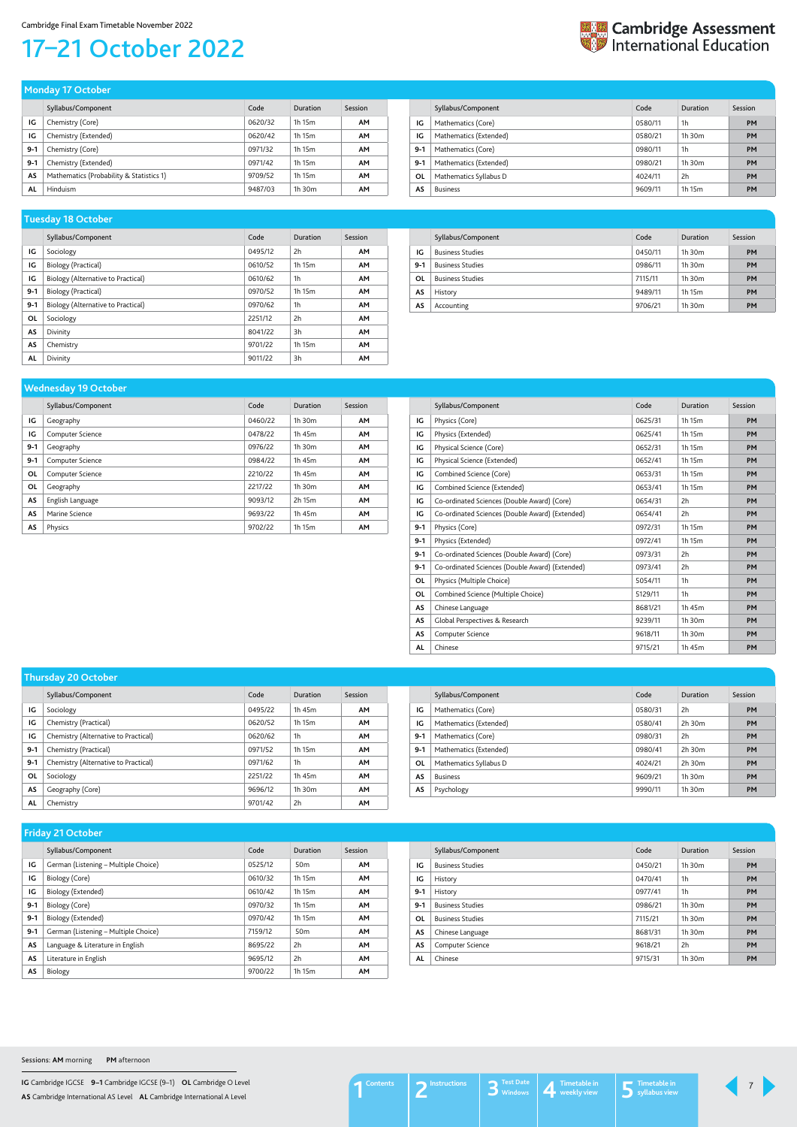**IG** Cambridge IGCSE **9–1** Cambridge IGCSE (9–1) **OL** Cambridge O Level **AS** Cambridge International AS Level **AL** Cambridge International A Level

## <span id="page-6-0"></span>17–21 October 2022



|           | Syllabus/Component                       | Code    | Duration    | Session   |
|-----------|------------------------------------------|---------|-------------|-----------|
| IG        | Chemistry (Core)                         | 0620/32 | 1h 15m      | <b>AM</b> |
| IG        | Chemistry (Extended)                     | 0620/42 | 1h 15m      | <b>AM</b> |
| $9-1$     | Chemistry (Core)                         | 0971/32 | 1h 15m      | AΜ        |
| $9-1$     | Chemistry (Extended)                     | 0971/42 | 1h 15m      | AΜ        |
| AS        | Mathematics (Probability & Statistics 1) | 9709/52 | 1h 15m      | AΜ        |
| <b>AL</b> | Hinduism                                 | 9487/03 | $1h$ 30 $m$ | AΜ        |

**Monday 17 October** 

|         | Syllabus/Component     | Code    | Duration    | Session   |
|---------|------------------------|---------|-------------|-----------|
| IG      | Mathematics (Core)     | 0580/11 | 1h          | <b>PM</b> |
| IG      | Mathematics (Extended) | 0580/21 | $1h$ 30 $m$ | <b>PM</b> |
| $9 - 1$ | Mathematics (Core)     | 0980/11 | 1h          | PM        |
| $9 - 1$ | Mathematics (Extended) | 0980/21 | $1h$ 30 $m$ | PM        |
| OL      | Mathematics Syllabus D | 4024/11 | 2h          | PM        |
| AS      | <b>Business</b>        | 9609/11 | 1h 15m      | <b>PM</b> |

|           | Syllabus/Component                 | Code    | Duration       | Session   |
|-----------|------------------------------------|---------|----------------|-----------|
| IG        | Sociology                          | 0495/12 | 2h             | <b>AM</b> |
| IG        | Biology (Practical)                | 0610/52 | 1h 15m         | <b>AM</b> |
| IG        | Biology (Alternative to Practical) | 0610/62 | 1 <sub>h</sub> | <b>AM</b> |
| $9-1$     | Biology (Practical)                | 0970/52 | 1h 15m         | <b>AM</b> |
| $9 - 1$   | Biology (Alternative to Practical) | 0970/62 | 1 <sub>h</sub> | <b>AM</b> |
| ΟL        | Sociology                          | 2251/12 | 2h             | <b>AM</b> |
| <b>AS</b> | Divinity                           | 8041/22 | 3h             | <b>AM</b> |
| AS        | Chemistry                          | 9701/22 | 1h 15m         | <b>AM</b> |
| AL        | Divinity                           | 9011/22 | 3h             | <b>AM</b> |

#### **Tuesday 18 October**

|       | Syllabus/Component      | Code    | Duration    | Session |
|-------|-------------------------|---------|-------------|---------|
| IG    | <b>Business Studies</b> | 0450/11 | $1h$ 30 $m$ | PM      |
| $9-1$ | <b>Business Studies</b> | 0986/11 | $1h$ 30 $m$ | PM      |
| OL    | <b>Business Studies</b> | 7115/11 | $1h$ 30 $m$ | PM      |
| AS    | History                 | 9489/11 | 1h 15m      | PM      |
| AS    | Accounting              | 9706/21 | $1h$ 30 $m$ | PM      |

|           | -                  |         |             |           |
|-----------|--------------------|---------|-------------|-----------|
|           | Syllabus/Component | Code    | Duration    | Session   |
| IG        | Geography          | 0460/22 | 1h 30m      | <b>AM</b> |
| IG        | Computer Science   | 0478/22 | 1h 45m      | <b>AM</b> |
| $9 - 1$   | Geography          | 0976/22 | $1h$ 30 $m$ | <b>AM</b> |
| $9-1$     | Computer Science   | 0984/22 | 1h 45m      | <b>AM</b> |
| OL        | Computer Science   | 2210/22 | 1h 45m      | <b>AM</b> |
| OL        | Geography          | 2217/22 | 1h 30m      | <b>AM</b> |
| AS        | English Language   | 9093/12 | 2h 15m      | <b>AM</b> |
| <b>AS</b> | Marine Science     | 9693/22 | 1h 45m      | <b>AM</b> |
| AS        | Physics            | 9702/22 | 1h 15m      | <b>AM</b> |

#### **Wednesday 19 October**

|           | Syllabus/Component                              | Code    | Duration       | Session   |
|-----------|-------------------------------------------------|---------|----------------|-----------|
| IG        | Physics (Core)                                  | 0625/31 | 1h 15m         | <b>PM</b> |
| IG        | Physics (Extended)                              | 0625/41 | 1h 15m         | <b>PM</b> |
| ΙG        | Physical Science (Core)                         | 0652/31 | 1h 15m         | <b>PM</b> |
| IG        | Physical Science (Extended)                     | 0652/41 | 1h 15m         | <b>PM</b> |
| IG        | Combined Science (Core)                         | 0653/31 | 1h 15m         | <b>PM</b> |
| IG        | Combined Science (Extended)                     | 0653/41 | 1h 15m         | PM        |
| IG        | Co-ordinated Sciences (Double Award) (Core)     | 0654/31 | 2h             | <b>PM</b> |
| IG        | Co-ordinated Sciences (Double Award) (Extended) | 0654/41 | 2h             | <b>PM</b> |
| $9 - 1$   | Physics (Core)                                  | 0972/31 | 1h 15m         | <b>PM</b> |
| $9 - 1$   | Physics (Extended)                              | 0972/41 | 1h 15m         | <b>PM</b> |
| $9 - 1$   | Co-ordinated Sciences (Double Award) (Core)     | 0973/31 | 2h             | <b>PM</b> |
| $9 - 1$   | Co-ordinated Sciences (Double Award) (Extended) | 0973/41 | 2h             | <b>PM</b> |
| OL        | Physics (Multiple Choice)                       | 5054/11 | 1 <sub>h</sub> | PM        |
| 0L        | Combined Science (Multiple Choice)              | 5129/11 | 1h             | <b>PM</b> |
| <b>AS</b> | Chinese Language                                | 8681/21 | 1h 45m         | <b>PM</b> |
| <b>AS</b> | Global Perspectives & Research                  | 9239/11 | 1h 30m         | <b>PM</b> |
| AS        | Computer Science                                | 9618/11 | 1h 30m         | <b>PM</b> |
| <b>AL</b> | Chinese                                         | 9715/21 | 1h 45m         | PM        |

|         | <b>Inursday ZU October</b>           |         |             |           |  |
|---------|--------------------------------------|---------|-------------|-----------|--|
|         | Syllabus/Component                   | Code    | Duration    | Session   |  |
| IG      | Sociology                            | 0495/22 | 1h 45m      | <b>AM</b> |  |
| IG      | Chemistry (Practical)                | 0620/52 | 1h 15m      | <b>AM</b> |  |
| IG      | Chemistry (Alternative to Practical) | 0620/62 | 1h          | <b>AM</b> |  |
| $9 - 1$ | Chemistry (Practical)                | 0971/52 | 1h 15m      | <b>AM</b> |  |
| $9 - 1$ | Chemistry (Alternative to Practical) | 0971/62 | 1h          | <b>AM</b> |  |
| OL      | Sociology                            | 2251/22 | 1h 45m      | <b>AM</b> |  |
| AS      | Geography (Core)                     | 9696/12 | $1h$ 30 $m$ | <b>AM</b> |  |
| AL      | Chemistry                            | 9701/42 | 2h          | <b>AM</b> |  |

| <b>Thursday 20 October</b> |  |  |
|----------------------------|--|--|
|                            |  |  |

|         | Syllabus/Component     | Code    | Duration    | Session   |
|---------|------------------------|---------|-------------|-----------|
| IG      | Mathematics (Core)     | 0580/31 | 2h          | <b>PM</b> |
| IG      | Mathematics (Extended) | 0580/41 | $2h$ 30 $m$ | PM        |
| $9 - 1$ | Mathematics (Core)     | 0980/31 | 2h          | <b>PM</b> |
| $9 - 1$ | Mathematics (Extended) | 0980/41 | $2h$ 30 $m$ | <b>PM</b> |
| 0L      | Mathematics Syllabus D | 4024/21 | $2h$ 30 $m$ | PM        |
| AS      | <b>Business</b>        | 9609/21 | $1h$ 30 $m$ | PM        |
| AS      | Psychology             | 9990/11 | 1h 30m      | PM        |

|       | Syllabus/Component                   | Code    | Duration        | Session   |
|-------|--------------------------------------|---------|-----------------|-----------|
| IG    | German (Listening - Multiple Choice) | 0525/12 | 50 <sub>m</sub> | <b>AM</b> |
| IG    | Biology (Core)                       | 0610/32 | 1h 15m          | <b>AM</b> |
| IG    | Biology (Extended)                   | 0610/42 | 1h 15m          | <b>AM</b> |
| $9-1$ | Biology (Core)                       | 0970/32 | 1h 15m          | <b>AM</b> |
| $9-1$ | Biology (Extended)                   | 0970/42 | 1h 15m          | <b>AM</b> |
| $9-1$ | German (Listening - Multiple Choice) | 7159/12 | 50 <sub>m</sub> | <b>AM</b> |
| AS    | Language & Literature in English     | 8695/22 | 2h              | <b>AM</b> |
| AS    | Literature in English                | 9695/12 | 2h              | <b>AM</b> |
| AS    | Biology                              | 9700/22 | 1h 15m          | <b>AM</b> |

Syllabus/Component Code Duration Session

|           | <b><i>Jyuavusi</i></b> Component | <b>COUT</b> | Pulation    | JEJJIUII |
|-----------|----------------------------------|-------------|-------------|----------|
| IG        | <b>Business Studies</b>          | 0450/21     | $1h$ 30 $m$ | PM       |
| IG        | History                          | 0470/41     | 1h          | PM       |
| $9 - 1$   | History                          | 0977/41     | 1h          | PM       |
| $9 - 1$   | <b>Business Studies</b>          | 0986/21     | $1h$ 30 $m$ | PM       |
| 0L        | <b>Business Studies</b>          | 7115/21     | $1h$ 30 $m$ | PM       |
| AS        | Chinese Language                 | 8681/31     | $1h$ 30 $m$ | PM       |
| AS        | Computer Science                 | 9618/21     | 2h          | PM       |
| <b>AL</b> | Chinese                          | 9715/31     | 1h 30m      | PM       |

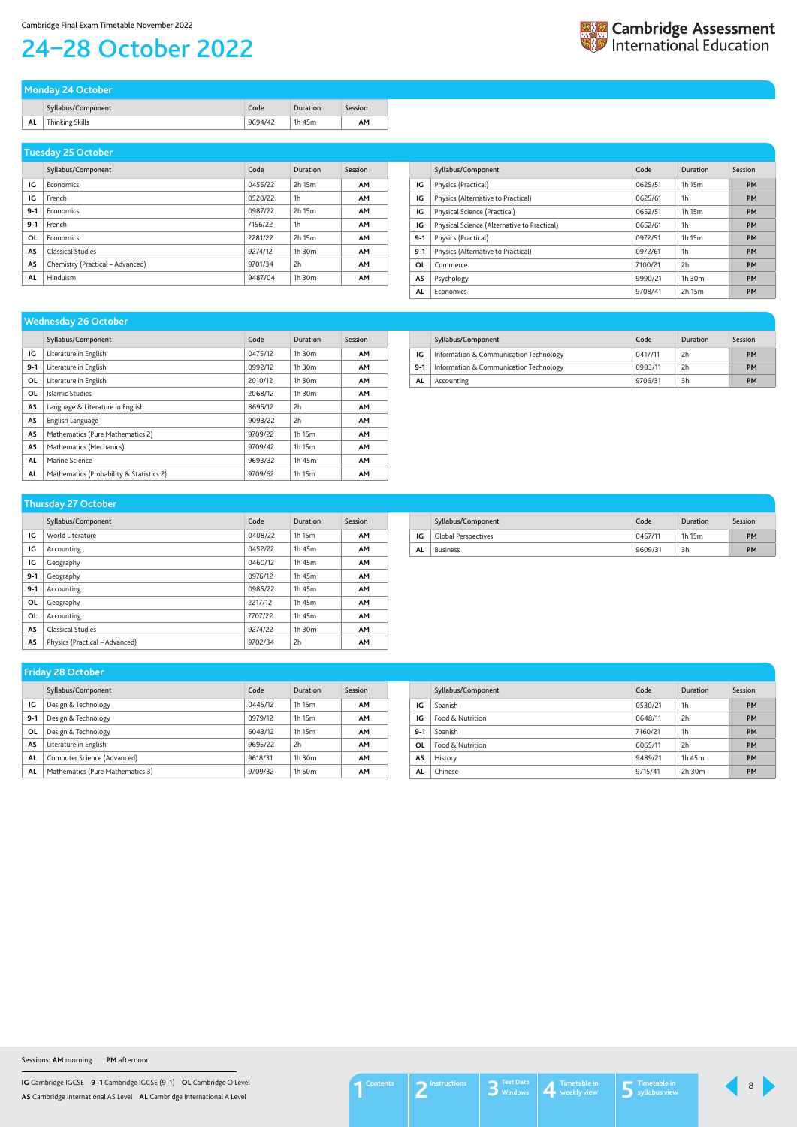**IG** Cambridge IGCSE **9–1** Cambridge IGCSE (9–1) **OL** Cambridge O Level **AS** Cambridge International AS Level **AL** Cambridge International A Level

# <span id="page-7-0"></span>24–28 October 2022

|    | Monday 24 October  |         |          |         |
|----|--------------------|---------|----------|---------|
|    | Syllabus/Component | Code    | Duration | Session |
| AL | Thinking Skills    | 9694/42 | 1h 45m   | AΜ      |

|           | Syllabus/Component               | Code    | Duration       | Session   |
|-----------|----------------------------------|---------|----------------|-----------|
| IG        | Economics                        | 0455/22 | 2h 15m         | <b>AM</b> |
| IG        | French                           | 0520/22 | 1 <sub>h</sub> | <b>AM</b> |
| $9-1$     | Economics                        | 0987/22 | 2h 15m         | <b>AM</b> |
| $9 - 1$   | French                           | 7156/22 | 1 <sub>h</sub> | <b>AM</b> |
| OL        | Economics                        | 2281/22 | 2h 15m         | <b>AM</b> |
| AS        | <b>Classical Studies</b>         | 9274/12 | 1h 30m         | <b>AM</b> |
| AS        | Chemistry (Practical – Advanced) | 9701/34 | 2h             | <b>AM</b> |
| <b>AL</b> | Hinduism                         | 9487/04 | 1h 30m         | <b>AM</b> |

### **Tuesday 25 October**

|         | Syllabus/Component                          | Code    | Duration | Session   |
|---------|---------------------------------------------|---------|----------|-----------|
| IG      | Physics (Practical)                         | 0625/51 | 1h 15m   | <b>PM</b> |
| IG      | Physics (Alternative to Practical)          | 0625/61 | 1h       | <b>PM</b> |
| IG      | Physical Science (Practical)                | 0652/51 | 1h 15m   | <b>PM</b> |
| IG      | Physical Science (Alternative to Practical) | 0652/61 | 1h       | <b>PM</b> |
| $9 - 1$ | Physics (Practical)                         | 0972/51 | 1h 15m   | <b>PM</b> |
| $9 - 1$ | Physics (Alternative to Practical)          | 0972/61 | 1h       | <b>PM</b> |
| OL      | Commerce                                    | 7100/21 | 2h       | <b>PM</b> |
| AS      | Psychology                                  | 9990/21 | 1h.30m   | <b>PM</b> |
| AL      | Economics                                   | 9708/41 | 2h 15m   | PM        |

|           | Syllabus/Component                       | Code    | Duration    | Session   |
|-----------|------------------------------------------|---------|-------------|-----------|
| IG        | Literature in English                    | 0475/12 | $1h$ 30 $m$ | <b>AM</b> |
| $9-1$     | Literature in English                    | 0992/12 | $1h$ 30 $m$ | <b>AM</b> |
| 0L        | Literature in English                    | 2010/12 | $1h$ 30 $m$ | <b>AM</b> |
| OL        | Islamic Studies                          | 2068/12 | $1h$ 30 $m$ | <b>AM</b> |
| AS        | Language & Literature in English         | 8695/12 | 2h          | <b>AM</b> |
| AS        | English Language                         | 9093/22 | 2h          | <b>AM</b> |
| AS        | Mathematics (Pure Mathematics 2)         | 9709/22 | 1h 15m      | <b>AM</b> |
| <b>AS</b> | Mathematics (Mechanics)                  | 9709/42 | 1h 15m      | <b>AM</b> |
| AL        | Marine Science                           | 9693/32 | 1h 45m      | <b>AM</b> |
| AL        | Mathematics (Probability & Statistics 2) | 9709/62 | 1h 15m      | <b>AM</b> |

#### **Wednesday 26 October**

|       | Syllabus/Component                     | Code    | Duration | Session   |
|-------|----------------------------------------|---------|----------|-----------|
| ΙG    | Information & Communication Technology | 0417/11 | 2h       | <b>PM</b> |
| $9-1$ | Information & Communication Technology | 0983/11 | 2h       | <b>PM</b> |
| AL    | Accounting                             | 9706/31 | 3h       | PM        |

|         | Syllabus/Component             | Code    | Duration | Session   |
|---------|--------------------------------|---------|----------|-----------|
| IG      | World Literature               | 0408/22 | 1h 15m   | <b>AM</b> |
| IG      | Accounting                     | 0452/22 | 1h 45m   | <b>AM</b> |
| IG      | Geography                      | 0460/12 | 1h 45m   | <b>AM</b> |
| $9-1$   | Geography                      | 0976/12 | 1h 45m   | <b>AM</b> |
| $9 - 1$ | Accounting                     | 0985/22 | 1h 45m   | <b>AM</b> |
| ΟL      | Geography                      | 2217/12 | 1h 45m   | <b>AM</b> |
| ΟL      | Accounting                     | 7707/22 | 1h 45m   | <b>AM</b> |
| AS      | <b>Classical Studies</b>       | 9274/22 | 1h 30m   | AM        |
| AS      | Physics (Practical – Advanced) | 9702/34 | 2h       | <b>AM</b> |

#### **Thursday 27 October**

|    | Syllabus/Component  | Code    | Duration | Session |
|----|---------------------|---------|----------|---------|
| IG | Global Perspectives | 0457/11 | 1h 15m   | PM      |
| AL | <b>Business</b>     | 9609/31 | 3h       | PM      |

|       | ◢                                |         |                    |           |
|-------|----------------------------------|---------|--------------------|-----------|
|       | Syllabus/Component               | Code    | Duration           | Session   |
| IG    | Design & Technology              | 0445/12 | 1h 15m             | AM        |
| $9-1$ | Design & Technology              | 0979/12 | 1h 15m             | <b>AM</b> |
| ΟL    | Design & Technology              | 6043/12 | 1h 15m             | AM        |
| AS    | Literature in English            | 9695/22 | 2h                 | <b>AM</b> |
| AL    | Computer Science (Advanced)      | 9618/31 | $1h$ 30 $m$        | AM        |
| AL    | Mathematics (Pure Mathematics 3) | 9709/32 | 1h 50 <sub>m</sub> | AΜ        |

#### **Friday 28 October**

|         | Syllabus/Component | Code    | Duration | Session |
|---------|--------------------|---------|----------|---------|
| IG      | Spanish            | 0530/21 | 1h       | PM      |
| IG      | Food & Nutrition   | 0648/11 | 2h       | PM      |
| $9 - 1$ | Spanish            | 7160/21 | 1h       | PM      |
| OL      | Food & Nutrition   | 6065/11 | 2h       | PM      |
| AS      | History            | 9489/21 | 1h 45m   | PM      |
| AL      | Chinese            | 9715/41 | 2h 30m   | PM      |

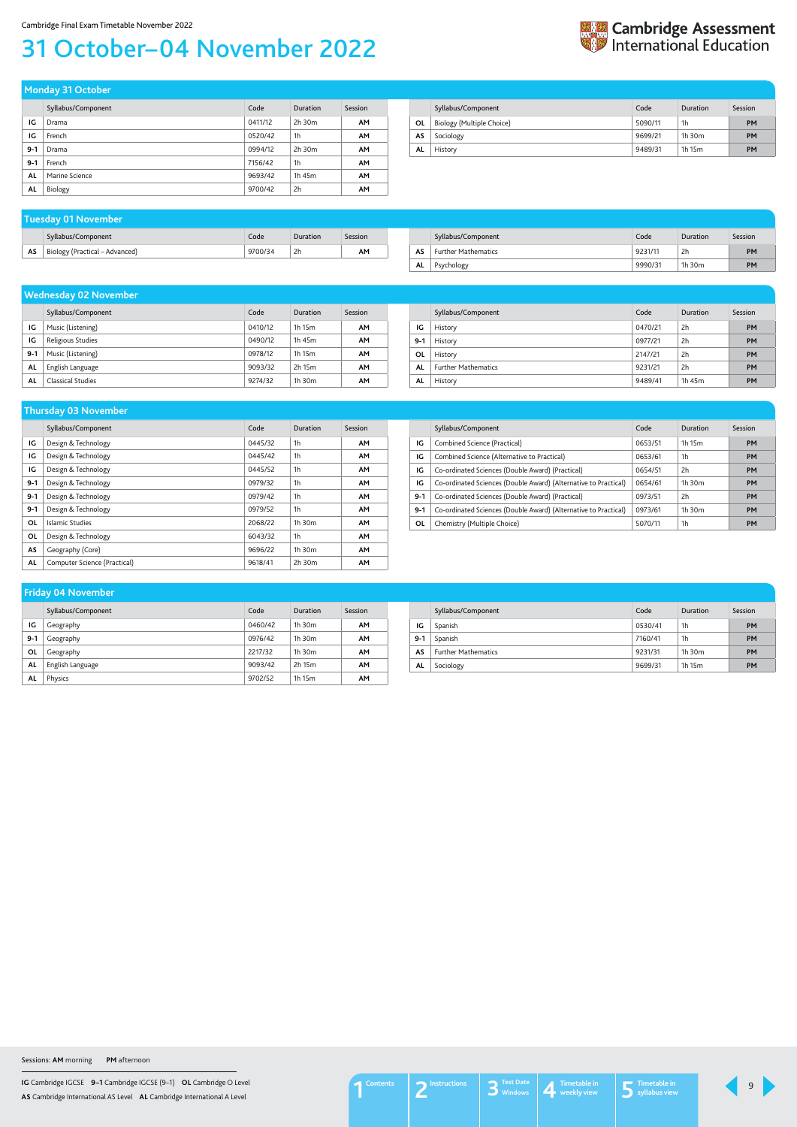**IG** Cambridge IGCSE **9–1** Cambridge IGCSE (9–1) **OL** Cambridge O Level **AS** Cambridge International AS Level **AL** Cambridge International A Level

# <span id="page-8-0"></span>31 October–04 November 2022

| <b>Expediant Cambridge Assessment</b><br><b>Expediant Property Detains</b> |
|----------------------------------------------------------------------------|
|                                                                            |

|       | Syllabus/Component | Code    | Duration    | Session   |
|-------|--------------------|---------|-------------|-----------|
| IG    | Drama              | 0411/12 | $2h$ 30 $m$ | <b>AM</b> |
| IG    | French             | 0520/42 | 1h          | <b>AM</b> |
| $9-1$ | Drama              | 0994/12 | $2h$ 30 $m$ | <b>AM</b> |
| $9-1$ | French             | 7156/42 | 1h          | <b>AM</b> |
| AL    | Marine Science     | 9693/42 | 1h 45m      | <b>AM</b> |
| AL    | Biology            | 9700/42 | 2h          | <b>AM</b> |

**Monday 31 October** 

|           | Syllabus/Component        | Code    | Duration | Session   |
|-----------|---------------------------|---------|----------|-----------|
| OL        | Biology (Multiple Choice) | 5090/11 | 1h       | <b>PM</b> |
| AS        | Sociology                 | 9699/21 | 1h 30m   | PM        |
| <b>AL</b> | History                   | 9489/31 | 1h 15m   | PM        |

|     | Tuesday 01 November            |         |          |         |
|-----|--------------------------------|---------|----------|---------|
|     | Syllabus/Component             | Code    | Duration | Session |
| AS. | Biology (Practical – Advanced) | 9700/34 | 2h       | AΜ      |

|    | Syllabus/Component         | Code    | Duration     | Session   |
|----|----------------------------|---------|--------------|-----------|
| AS | <b>Further Mathematics</b> | 9231/11 | 2h           | <b>PM</b> |
| AL | Psychology                 | 9990/31 | 1 $h$ 30 $m$ | PM        |

|       | <b>Wednesday 02 November</b> |         |             |           |  |
|-------|------------------------------|---------|-------------|-----------|--|
|       | Syllabus/Component           | Code    | Duration    | Session   |  |
| IG    | Music (Listening)            | 0410/12 | 1h 15m      | <b>AM</b> |  |
| IG    | Religious Studies            | 0490/12 | 1h 45m      | <b>AM</b> |  |
| $9-1$ | Music (Listening)            | 0978/12 | 1h 15m      | <b>AM</b> |  |
| AL    | English Language             | 9093/32 | 2h 15m      | AΜ        |  |
| AL    | Classical Studies            | 9274/32 | $1h$ 30 $m$ | AΜ        |  |

|         | Syllabus/Component         | Code    | Duration | Session   |
|---------|----------------------------|---------|----------|-----------|
| IG      | History                    | 0470/21 | 2h       | PM        |
| $9 - 1$ | History                    | 0977/21 | 2h       | <b>PM</b> |
| 0L      | History                    | 2147/21 | 2h       | PM        |
| AL      | <b>Further Mathematics</b> | 9231/21 | 2h       | <b>PM</b> |
| AL      | History                    | 9489/41 | 1h 45m   | PM        |

|         | Syllabus/Component           | Code    | Duration       | Session   |
|---------|------------------------------|---------|----------------|-----------|
| IG      | Design & Technology          | 0445/32 | 1h             | <b>AM</b> |
| IG      | Design & Technology          | 0445/42 | 1 <sub>h</sub> | <b>AM</b> |
| IG      | Design & Technology          | 0445/52 | 1 <sub>h</sub> | <b>AM</b> |
| $9 - 1$ | Design & Technology          | 0979/32 | 1 <sub>h</sub> | <b>AM</b> |
| $9-1$   | Design & Technology          | 0979/42 | 1 <sub>h</sub> | <b>AM</b> |
| $9 - 1$ | Design & Technology          | 0979/52 | 1 <sub>h</sub> | <b>AM</b> |
| OL      | Islamic Studies              | 2068/22 | $1h$ 30 $m$    | <b>AM</b> |
| 0L      | Design & Technology          | 6043/32 | 1 <sub>h</sub> | <b>AM</b> |
| AS      | Geography (Core)             | 9696/22 | $1h$ 30 $m$    | <b>AM</b> |
| AL      | Computer Science (Practical) | 9618/41 | 2h 30m         | <b>AM</b> |

#### **Thursday 03 November**

|       | Syllabus/Component                                              | Code    | Duration    | Session   |
|-------|-----------------------------------------------------------------|---------|-------------|-----------|
| IG    | Combined Science (Practical)                                    | 0653/51 | 1h 15m      | <b>PM</b> |
| IG    | Combined Science (Alternative to Practical)                     | 0653/61 | 1h          | <b>PM</b> |
| IG    | Co-ordinated Sciences (Double Award) (Practical)                | 0654/51 | 2h          | <b>PM</b> |
| IG    | Co-ordinated Sciences (Double Award) (Alternative to Practical) | 0654/61 | $1h$ 30 $m$ | <b>PM</b> |
| $9-1$ | Co-ordinated Sciences (Double Award) (Practical)                | 0973/51 | 2h          | <b>PM</b> |
| $9-1$ | Co-ordinated Sciences (Double Award) (Alternative to Practical) | 0973/61 | $1h$ 30 $m$ | <b>PM</b> |
| 0L    | Chemistry (Multiple Choice)                                     | 5070/11 | 1h          | PM        |

|       | Syllabus/Component | Code    | Duration    | Session   |
|-------|--------------------|---------|-------------|-----------|
| IG    | Geography          | 0460/42 | $1h$ 30 $m$ | <b>AM</b> |
| $9-1$ | Geography          | 0976/42 | $1h$ 30 $m$ | <b>AM</b> |
| 0L    | Geography          | 2217/32 | $1h$ 30 $m$ | <b>AM</b> |
| AL    | English Language   | 9093/42 | 2h 15m      | <b>AM</b> |
| AL    | Physics            | 9702/52 | 1h 15m      | AΜ        |

### **Friday 04 November**

|         | Syllabus/Component         | Code    | Duration       | Session   |
|---------|----------------------------|---------|----------------|-----------|
| ΙG      | Spanish                    | 0530/41 | 1 <sub>h</sub> | PM        |
| $9 - 1$ | Spanish                    | 7160/41 | 1 <sub>h</sub> | PM        |
| AS      | <b>Further Mathematics</b> | 9231/31 | $1h$ 30 $m$    | <b>PM</b> |
| AL      | Sociology                  | 9699/31 | 1h 15m         | PM        |

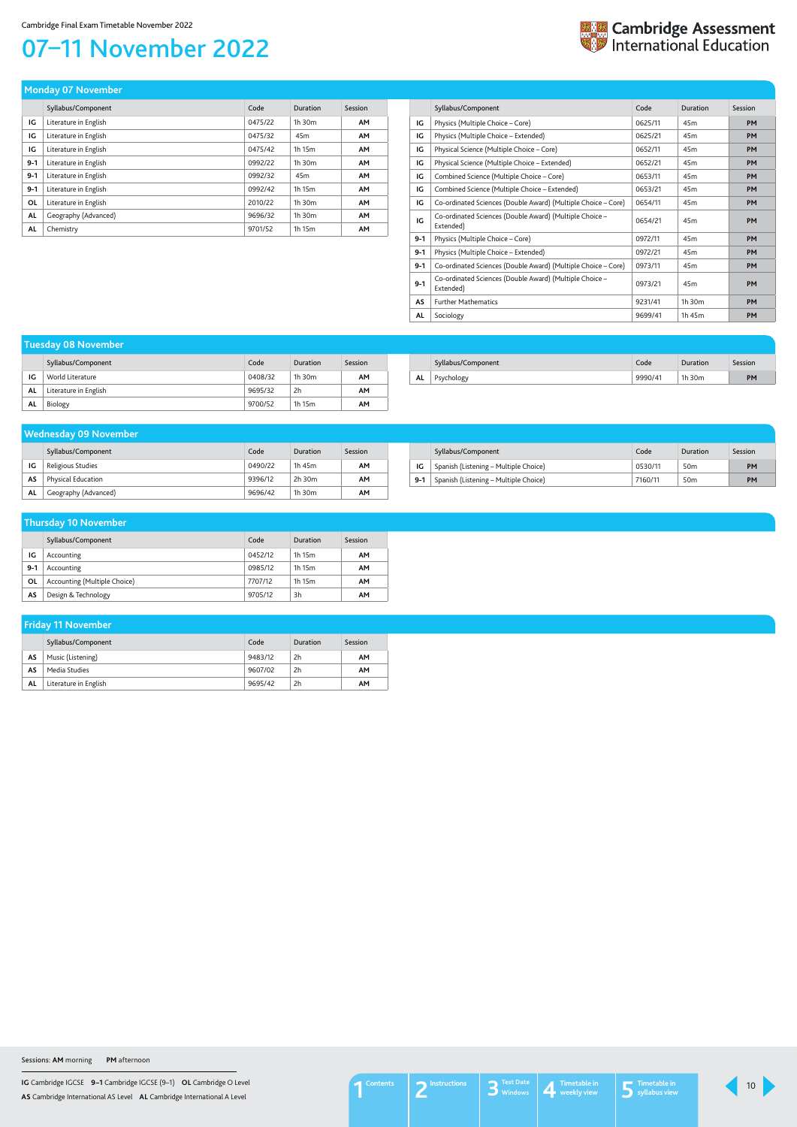**IG** Cambridge IGCSE **9–1** Cambridge IGCSE (9–1) **OL** Cambridge O Level **AS** Cambridge International AS Level **AL** Cambridge International A Level

# <span id="page-9-0"></span>07–11 November 2022



| Tuesday 08 November |                       |         |             |         |  |
|---------------------|-----------------------|---------|-------------|---------|--|
|                     | Syllabus/Component    | Code    | Duration    | Session |  |
| IG                  | World Literature      | 0408/32 | $1h$ 30 $m$ | AΜ      |  |
| AL                  | Literature in English | 9695/32 | 2h          | AΜ      |  |
| AL                  | Biology               | 9700/52 | 1h 15m      | АΜ      |  |

### Syllabus/Component Code Duration Session **AS** Music (Listening) 9483/12 2h **AM AS** Media Studies 9607/02 2h **AM AL** Literature in English 9695/42 2h **AM Friday 11 November**

|     | Syllabus/Component | Code    | <b>Duration</b> | Session |
|-----|--------------------|---------|-----------------|---------|
| AL. |                    | 9990/41 | 1h 30m          | PM      |

|       | Syllabus/Component           | Code    | Duration | Session |
|-------|------------------------------|---------|----------|---------|
| IG    | Accounting                   | 0452/12 | 1h 15m   | AM      |
| $9-1$ | Accounting                   | 0985/12 | 1h 15m   | AM      |
| 0L    | Accounting (Multiple Choice) | 7707/12 | 1h 15m   | AM      |
| AS    | Design & Technology          | 9705/12 | 3h       | AM      |

### **Thursday 10 November**

|           | Syllabus/Component    | Code    | Duration    | Session   |
|-----------|-----------------------|---------|-------------|-----------|
| IG        | Literature in English | 0475/22 | $1h$ 30 $m$ | <b>AM</b> |
| IG        | Literature in English | 0475/32 | 45m         | <b>AM</b> |
| IG        | Literature in English | 0475/42 | 1h 15m      | <b>AM</b> |
| $9 - 1$   | Literature in English | 0992/22 | 1h 30m      | <b>AM</b> |
| $9-1$     | Literature in English | 0992/32 | 45m         | <b>AM</b> |
| $9-1$     | Literature in English | 0992/42 | 1h 15m      | <b>AM</b> |
| <b>OL</b> | Literature in English | 2010/22 | 1h 30m      | <b>AM</b> |
| AL        | Geography (Advanced)  | 9696/32 | 1h 30m      | <b>AM</b> |
| <b>AL</b> | Chemistry             | 9701/52 | 1h 15m      | <b>AM</b> |

**Monday 07 November** 

|         | Syllabus/Component                                                   | Code    | Duration        | Session   |
|---------|----------------------------------------------------------------------|---------|-----------------|-----------|
| IG      | Physics (Multiple Choice – Core)                                     | 0625/11 | 45 <sub>m</sub> | <b>PM</b> |
| IG      | Physics (Multiple Choice – Extended)                                 | 0625/21 | 45 <sub>m</sub> | <b>PM</b> |
| IG      | Physical Science (Multiple Choice - Core)                            | 0652/11 | 45 <sub>m</sub> | <b>PM</b> |
| IG      | Physical Science (Multiple Choice - Extended)                        | 0652/21 | 45 <sub>m</sub> | <b>PM</b> |
| IG      | Combined Science (Multiple Choice – Core)                            | 0653/11 | 45 <sub>m</sub> | <b>PM</b> |
| IG      | Combined Science (Multiple Choice - Extended)                        | 0653/21 | 45 <sub>m</sub> | <b>PM</b> |
| IG      | Co-ordinated Sciences (Double Award) (Multiple Choice – Core)        | 0654/11 | 45 <sub>m</sub> | <b>PM</b> |
| IG      | Co-ordinated Sciences (Double Award) (Multiple Choice -<br>Extended) | 0654/21 | 45 <sub>m</sub> | <b>PM</b> |
| $9 - 1$ | Physics (Multiple Choice – Core)                                     | 0972/11 | 45 <sub>m</sub> | <b>PM</b> |
| $9 - 1$ | Physics (Multiple Choice - Extended)                                 | 0972/21 | 45m             | <b>PM</b> |
| $9 - 1$ | Co-ordinated Sciences (Double Award) (Multiple Choice – Core)        | 0973/11 | 45 <sub>m</sub> | <b>PM</b> |
| $9 - 1$ | Co-ordinated Sciences (Double Award) (Multiple Choice -<br>Extended) | 0973/21 | 45 <sub>m</sub> | <b>PM</b> |
| AS      | <b>Further Mathematics</b>                                           | 9231/41 | $1h$ 30 $m$     | <b>PM</b> |
| AL      | Sociology                                                            | 9699/41 | 1h 45m          | <b>PM</b> |

|         | Syllabus/Component                    | Code    | Duration        | Session   |
|---------|---------------------------------------|---------|-----------------|-----------|
| ١G      | Spanish (Listening - Multiple Choice) | 0530/11 | 50 <sub>m</sub> | <b>PM</b> |
| $9 - 1$ | Spanish (Listening - Multiple Choice) | 7160/11 | 50m             | <b>PM</b> |

#### **Wednesday 09 November**

|    | Syllabus/Component        | Code    | Duration    | Session |
|----|---------------------------|---------|-------------|---------|
| IG | Religious Studies         | 0490/22 | 1h 45m      | ΑМ      |
| AS | <b>Physical Education</b> | 9396/12 | 2h 30m      | AΜ      |
| AL | Geography (Advanced)      | 9696/42 | $1h$ 30 $m$ | ΑМ      |

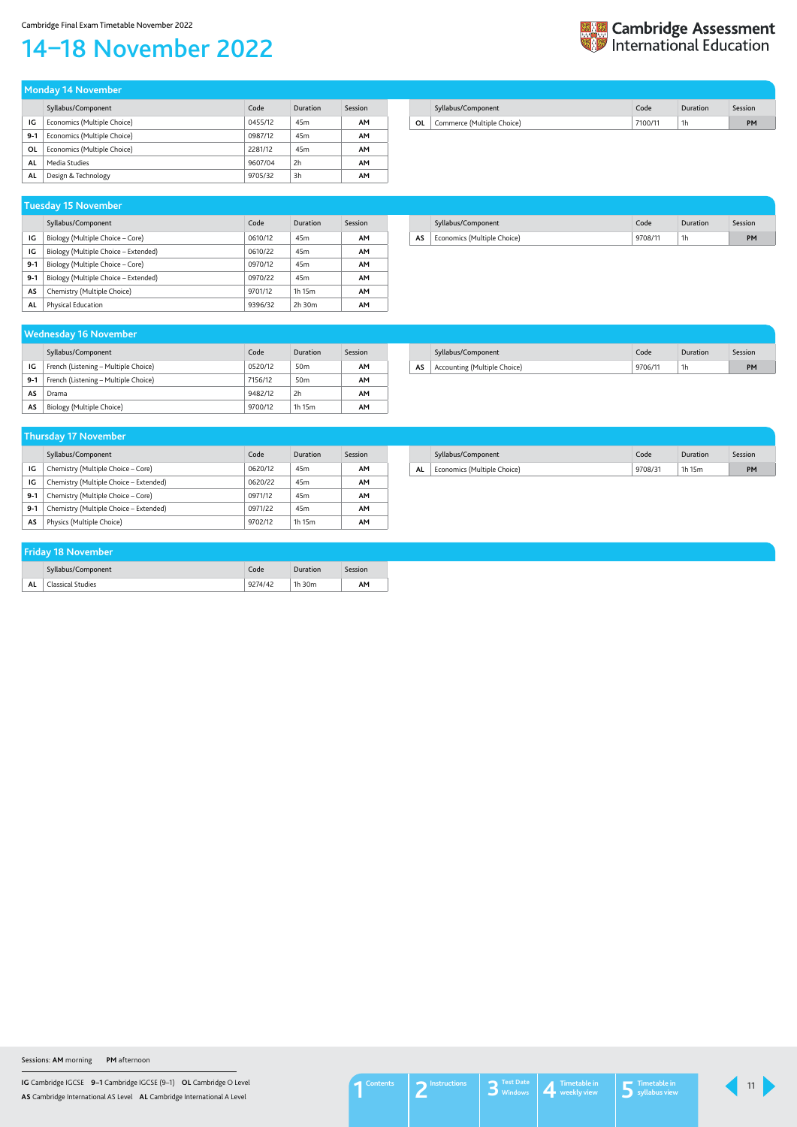**IG** Cambridge IGCSE **9–1** Cambridge IGCSE (9–1) **OL** Cambridge O Level **AS** Cambridge International AS Level **AL** Cambridge International A Level

# <span id="page-10-0"></span>14–18 November 2022



|       | Syllabus/Component          | Code    | Duration        | Session   |
|-------|-----------------------------|---------|-----------------|-----------|
| ΙG    | Economics (Multiple Choice) | 0455/12 | 45 <sub>m</sub> | AM        |
| $9-1$ | Economics (Multiple Choice) | 0987/12 | 45 <sub>m</sub> | AM        |
| OL    | Economics (Multiple Choice) | 2281/12 | 45 <sub>m</sub> | AM        |
| AL    | Media Studies               | 9607/04 | 2h              | <b>AM</b> |
| AL    | Design & Technology         | 9705/32 | 3h              | AM        |

| <b>Monday 14 November</b> |  |  |
|---------------------------|--|--|
|                           |  |  |

|    | Syllabus/Component         | Code    | Duration | Session |
|----|----------------------------|---------|----------|---------|
| ΟL | Commerce (Multiple Choice) | 7100/11 | 1h       | PМ      |
|    |                            |         |          |         |

|       | Syllabus/Component                   | Code    | Duration        | Session |
|-------|--------------------------------------|---------|-----------------|---------|
| ١G    | Biology (Multiple Choice – Core)     | 0610/12 | 45 <sub>m</sub> | AМ      |
| IG    | Biology (Multiple Choice – Extended) | 0610/22 | 45m             | AМ      |
| $9-1$ | Biology (Multiple Choice – Core)     | 0970/12 | 45m             | AМ      |
| $9-1$ | Biology (Multiple Choice – Extended) | 0970/22 | 45m             | AМ      |
| AS    | Chemistry (Multiple Choice)          | 9701/12 | 1h 15m          | AМ      |
| AL    | Physical Education                   | 9396/32 | $2h$ 30 $m$     | AМ      |

#### **Tuesday 15 November**

|    | Syllabus/Component          | Code    | Duration | Session |
|----|-----------------------------|---------|----------|---------|
| AS | Economics (Multiple Choice) | 9708/11 | 1h       | PM      |

|       | Syllabus/Component                     | Code    | Duration        | <b>Session</b> |
|-------|----------------------------------------|---------|-----------------|----------------|
| ΙG    | Chemistry (Multiple Choice – Core)     | 0620/12 | 45 <sub>m</sub> | AΜ             |
| IG    | Chemistry (Multiple Choice – Extended) | 0620/22 | 45m             | AΜ             |
| $9-1$ | Chemistry (Multiple Choice – Core)     | 0971/12 | 45 <sub>m</sub> | AΜ             |
| $9-1$ | Chemistry (Multiple Choice - Extended) | 0971/22 | 45m             | AМ             |
| AS    | Physics (Multiple Choice)              | 9702/12 | 1h 15m          | AΜ             |

#### **Thursday 17 November**

|    | Syllabus/Component          | Code    | Duration | Session |
|----|-----------------------------|---------|----------|---------|
| AL | Economics (Multiple Choice) | 9708/31 | 1h 15m   | PM      |

| <b>Wednesday 16 November</b> |                                      |         |                 |         |  |  |  |
|------------------------------|--------------------------------------|---------|-----------------|---------|--|--|--|
|                              | Syllabus/Component                   | Code    | Duration        | Session |  |  |  |
| IG                           | French (Listening - Multiple Choice) | 0520/12 | 50 <sub>m</sub> | AΜ      |  |  |  |
| $9-1$                        | French (Listening - Multiple Choice) | 7156/12 | 50 <sub>m</sub> | AΜ      |  |  |  |
| AS                           | Drama                                | 9482/12 | 2h              | AM      |  |  |  |
| AS                           | Biology (Multiple Choice)            | 9700/12 | 1h 15m          | AМ      |  |  |  |

|    | Syllabus/Component           | Code    | Duration | Session |
|----|------------------------------|---------|----------|---------|
| AS | Accounting (Multiple Choice) | 9706/11 | 1h       | PM      |

| <b>Friday 18 November</b> |                          |         |          |         |  |  |
|---------------------------|--------------------------|---------|----------|---------|--|--|
|                           | Syllabus/Component       | Code    | Duration | Session |  |  |
| AL                        | <b>Classical Studies</b> | 9274/42 | 1h 30m   | AM      |  |  |

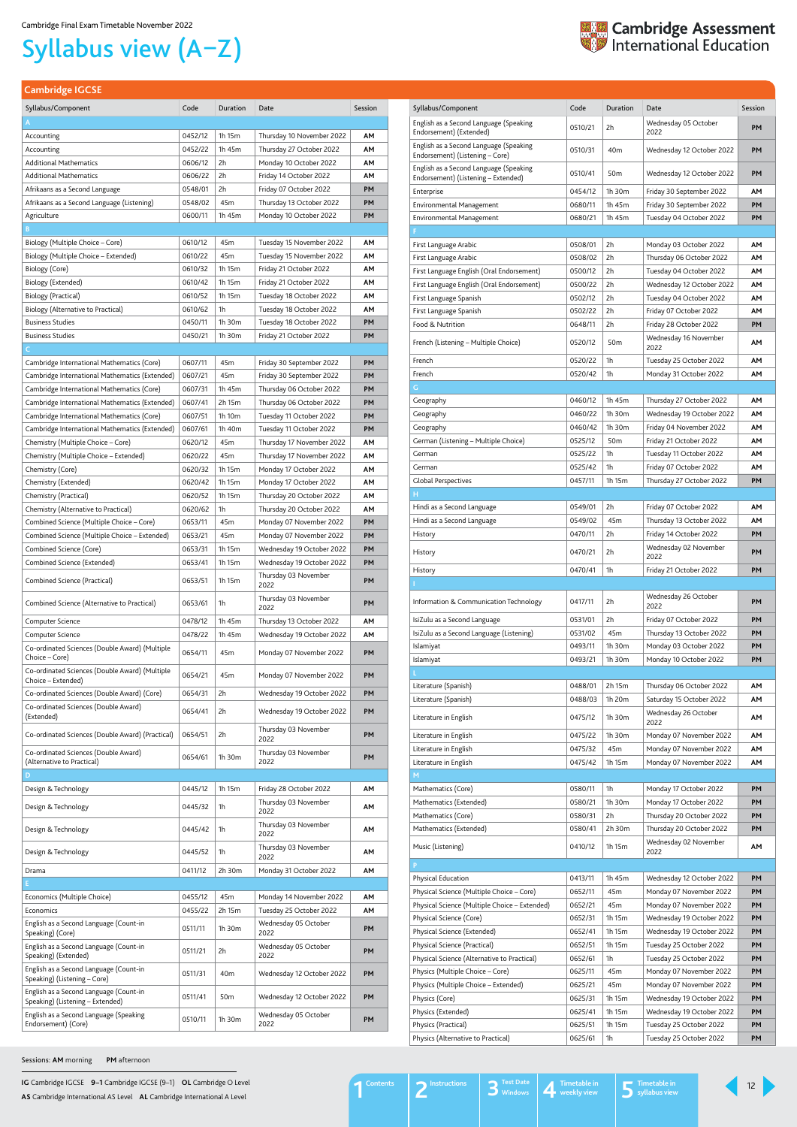**IG** Cambridge IGCSE **9–1** Cambridge IGCSE (9–1) **OL** Cambridge O Level **AS** Cambridge International AS Level **AL** Cambridge International A Level

<span id="page-11-1"></span>**Cambridge IGCSE**

| Syllabus/Component                                                            | Code               | Duration         | Date                                                  | Session  |
|-------------------------------------------------------------------------------|--------------------|------------------|-------------------------------------------------------|----------|
| English as a Second Language (Speaking<br>Endorsement) (Extended)             | 0510/21            | 2h               | Wednesday 05 October<br>2022                          | PM       |
| English as a Second Language (Speaking<br>Endorsement) (Listening - Core)     | 0510/31            | 40 <sub>m</sub>  | Wednesday 12 October 2022                             | PM       |
| English as a Second Language (Speaking<br>Endorsement) (Listening - Extended) | 0510/41            | 50 <sub>m</sub>  | Wednesday 12 October 2022                             | PМ       |
| Enterprise                                                                    | 0454/12            | 1h 30m           | Friday 30 September 2022                              | AΜ       |
| Environmental Management                                                      | 0680/11            | 1h 45m           | Friday 30 September 2022                              | PM       |
| Environmental Management                                                      | 0680/21            | 1h 45m           | Tuesday 04 October 2022                               | PМ       |
| F                                                                             |                    |                  |                                                       |          |
| First Language Arabic                                                         | 0508/01            | 2h               | Monday 03 October 2022                                | AΜ       |
| First Language Arabic                                                         | 0508/02            | 2h               | Thursday 06 October 2022                              | AΜ       |
| First Language English (Oral Endorsement)                                     | 0500/12            | 2h               | Tuesday 04 October 2022                               | AΜ       |
| First Language English (Oral Endorsement)                                     | 0500/22            | 2h               | Wednesday 12 October 2022                             | AΜ       |
| First Language Spanish                                                        | 0502/12            | 2h               | Tuesday 04 October 2022                               | AΜ       |
| First Language Spanish                                                        | 0502/22            | 2h               | Friday 07 October 2022                                | AΜ       |
| Food & Nutrition                                                              | 0648/11            | 2h               | Friday 28 October 2022                                | PM       |
| French (Listening – Multiple Choice)                                          | 0520/12            | 50 <sub>m</sub>  | Wednesday 16 November<br>2022                         | AΜ       |
| French                                                                        | 0520/22            | 1h               | Tuesday 25 October 2022                               | AM       |
| French                                                                        | 0520/42            | 1h               | Monday 31 October 2022                                | AΜ       |
| G                                                                             | 0460/12            | 1h 45m           |                                                       | AM       |
| Geography<br>Geography                                                        | 0460/22            | 1 $h$ 30 $m$     | Thursday 27 October 2022<br>Wednesday 19 October 2022 | AΜ       |
| Geography                                                                     | 0460/42            | 1h 30m           | Friday 04 November 2022                               | AΜ       |
| German (Listening – Multiple Choice)                                          | 0525/12            | 50 <sub>m</sub>  | Friday 21 October 2022                                | AΜ       |
| German                                                                        | 0525/22            | 1h               | Tuesday 11 October 2022                               | AΜ       |
| German                                                                        | 0525/42            | 1h               | Friday 07 October 2022                                | AΜ       |
| <b>Global Perspectives</b>                                                    | 0457/11            | 1h 15m           | Thursday 27 October 2022                              | PM       |
| н                                                                             |                    |                  |                                                       |          |
| Hindi as a Second Language                                                    | 0549/01            | 2h               | Friday 07 October 2022                                | ΑМ       |
| Hindi as a Second Language                                                    | 0549/02            | 45m              | Thursday 13 October 2022                              | AΜ       |
| History                                                                       | 0470/11            | 2h               | Friday 14 October 2022                                | PM       |
| History                                                                       | 0470/21            | 2h               | Wednesday 02 November<br>2022                         | PМ       |
|                                                                               |                    |                  |                                                       |          |
| History                                                                       | 0470/41            | 1h               | Friday 21 October 2022                                | PМ       |
|                                                                               |                    |                  |                                                       |          |
| Information & Communication Technology                                        | 0417/11            | 2h               | Wednesday 26 October<br>2022                          | PM       |
| IsiZulu as a Second Language                                                  | 0531/01            | 2h               | Friday 07 October 2022                                | PМ       |
| IsiZulu as a Second Language (Listening)                                      | 0531/02            | 45m              | Thursday 13 October 2022                              | PМ       |
| Islamiyat                                                                     | 0493/11            | 1h 30m           | Monday 03 October 2022                                | PМ       |
| Islamiyat                                                                     | 0493/21            | 1h 30m           | Monday 10 October 2022                                | PM       |
|                                                                               |                    |                  |                                                       |          |
| Literature (Spanish)                                                          | 0488/01            | 2h 15m           | Thursday 06 October 2022                              | AΜ       |
| Literature (Spanish)<br>Literature in English                                 | 0488/03<br>0475/12 | 1h 20m<br>1h 30m | Saturday 15 October 2022<br>Wednesday 26 October      | AΜ<br>AΜ |
|                                                                               |                    |                  | 2022                                                  |          |
| Literature in English                                                         | 0475/22            | 1h 30m           | Monday 07 November 2022                               | AΜ       |
| Literature in English                                                         | 0475/32            | 45m              | Monday 07 November 2022                               | AΜ<br>AΜ |
| Literature in English<br>M                                                    | 0475/42            | 1h 15m           | Monday 07 November 2022                               |          |
| Mathematics (Core)                                                            | 0580/11            | 1h               | Monday 17 October 2022                                | PМ       |
| Mathematics (Extended)                                                        | 0580/21            | 1h 30m           | Monday 17 October 2022                                | PМ       |
| Mathematics (Core)                                                            | 0580/31            | 2h               | Thursday 20 October 2022                              | PМ       |
| Mathematics (Extended)                                                        | 0580/41            | 2h 30m           | Thursday 20 October 2022                              | PМ       |
| Music (Listening)                                                             | 0410/12            | 1h 15m           | Wednesday 02 November                                 | AΜ       |
| P                                                                             |                    |                  | 2022                                                  |          |
| Physical Education                                                            | 0413/11            | 1h 45m           | Wednesday 12 October 2022                             | PM       |
| Physical Science (Multiple Choice - Core)                                     | 0652/11            | 45m              | Monday 07 November 2022                               | PM       |
| Physical Science (Multiple Choice - Extended)                                 | 0652/21            | 45m              | Monday 07 November 2022                               | PM       |
| Physical Science (Core)                                                       | 0652/31            | 1h 15m           | Wednesday 19 October 2022                             | PM       |
| Physical Science (Extended)                                                   | 0652/41            | 1h 15m           | Wednesday 19 October 2022                             | PM       |
| Physical Science (Practical)                                                  | 0652/51            | 1h 15m           | Tuesday 25 October 2022                               | PМ       |
| Physical Science (Alternative to Practical)                                   | 0652/61            | 1h               | Tuesday 25 October 2022                               | PM       |
| Physics (Multiple Choice - Core)                                              | 0625/11            | 45m              | Monday 07 November 2022                               | PM       |
| Physics (Multiple Choice - Extended)                                          | 0625/21            | 45m              | Monday 07 November 2022                               | PM       |
| Physics (Core)                                                                | 0625/31            | 1h 15m           | Wednesday 19 October 2022                             | PM       |
| Physics (Extended)                                                            | 0625/41            | 1h 15m           | Wednesday 19 October 2022                             | PM       |
| Physics (Practical)<br>Physics (Alternative to Practical)                     | 0625/51<br>0625/61 | 1h 15m<br>1h     | Tuesday 25 October 2022<br>Tuesday 25 October 2022    | PM<br>PM |

| Syllabus/Component                                                     | Code    | Duration        | Date                         | Session   |
|------------------------------------------------------------------------|---------|-----------------|------------------------------|-----------|
| A                                                                      |         |                 |                              |           |
| Accounting                                                             | 0452/12 | 1h 15m          | Thursday 10 November 2022    | AΜ        |
| Accounting                                                             | 0452/22 | 1h 45m          | Thursday 27 October 2022     | АΜ        |
| <b>Additional Mathematics</b>                                          | 0606/12 | 2h              | Monday 10 October 2022       | ΑМ        |
| <b>Additional Mathematics</b>                                          | 0606/22 | 2h              | Friday 14 October 2022       | АΜ        |
| Afrikaans as a Second Language                                         | 0548/01 | 2h              | Friday 07 October 2022       | PM        |
| Afrikaans as a Second Language (Listening)                             | 0548/02 | 45m             | Thursday 13 October 2022     | PM        |
| Agriculture                                                            | 0600/11 | 1h 45m          | Monday 10 October 2022       | PM        |
| в                                                                      |         |                 |                              |           |
| Biology (Multiple Choice – Core)                                       | 0610/12 | 45m             | Tuesday 15 November 2022     | ΑМ        |
|                                                                        |         |                 |                              |           |
| Biology (Multiple Choice – Extended)                                   | 0610/22 | 45m             | Tuesday 15 November 2022     | АΜ        |
| Biology (Core)                                                         | 0610/32 | 1h 15m          | Friday 21 October 2022       | ΑМ        |
| Biology (Extended)                                                     | 0610/42 | 1h 15m          | Friday 21 October 2022       | ΑМ        |
| Biology (Practical)                                                    | 0610/52 | 1h 15m          | Tuesday 18 October 2022      | АΜ        |
| Biology (Alternative to Practical)                                     | 0610/62 | 1h              | Tuesday 18 October 2022      | AΜ        |
| <b>Business Studies</b>                                                | 0450/11 | 1h 30m          | Tuesday 18 October 2022      | PM        |
| <b>Business Studies</b>                                                | 0450/21 | 1h 30m          | Friday 21 October 2022       | PM        |
| C.                                                                     |         |                 |                              |           |
| Cambridge International Mathematics (Core)                             | 0607/11 | 45m             | Friday 30 September 2022     | PM        |
| Cambridge International Mathematics (Extended)                         | 0607/21 | 45m             | Friday 30 September 2022     | PM        |
| Cambridge International Mathematics (Core)                             | 0607/31 | 1h 45m          | Thursday 06 October 2022     | PM        |
| Cambridge International Mathematics (Extended)                         | 0607/41 | 2h 15m          | Thursday 06 October 2022     | PM        |
|                                                                        | 0607/51 | 1h 10m          |                              | PM        |
| Cambridge International Mathematics (Core)                             |         |                 | Tuesday 11 October 2022      |           |
| Cambridge International Mathematics (Extended)                         | 0607/61 | 1h 40m          | Tuesday 11 October 2022      | PM        |
| Chemistry (Multiple Choice - Core)                                     | 0620/12 | 45m             | Thursday 17 November 2022    | ΑМ        |
| Chemistry (Multiple Choice – Extended)                                 | 0620/22 | 45m             | Thursday 17 November 2022    | ΑМ        |
| Chemistry (Core)                                                       | 0620/32 | 1h 15m          | Monday 17 October 2022       | ΑМ        |
| Chemistry (Extended)                                                   | 0620/42 | 1h 15m          | Monday 17 October 2022       | ΑМ        |
| Chemistry (Practical)                                                  | 0620/52 | 1h 15m          | Thursday 20 October 2022     | ΑМ        |
| Chemistry (Alternative to Practical)                                   | 0620/62 | 1h              | Thursday 20 October 2022     | ΑМ        |
| Combined Science (Multiple Choice - Core)                              | 0653/11 | 45m             | Monday 07 November 2022      | PМ        |
| Combined Science (Multiple Choice - Extended)                          | 0653/21 | 45m             | Monday 07 November 2022      | PM        |
| Combined Science (Core)                                                | 0653/31 | 1h 15m          | Wednesday 19 October 2022    | <b>PM</b> |
| Combined Science (Extended)                                            | 0653/41 | 1h 15m          | Wednesday 19 October 2022    | PM        |
|                                                                        |         |                 | Thursday 03 November         |           |
| Combined Science (Practical)                                           | 0653/51 | 1h 15m          | 2022                         | PM        |
|                                                                        |         |                 | Thursday 03 November         |           |
| Combined Science (Alternative to Practical)                            | 0653/61 | 1h              | 2022                         | PM        |
| Computer Science                                                       | 0478/12 | 1h 45m          | Thursday 13 October 2022     | ΑМ        |
| Computer Science                                                       | 0478/22 | 1h 45m          | Wednesday 19 October 2022    | ΑМ        |
| Co-ordinated Sciences (Double Award) (Multiple                         |         |                 |                              |           |
| Choice - Core)                                                         | 0654/11 | 45m             | Monday 07 November 2022      | <b>PM</b> |
| Co-ordinated Sciences (Double Award) (Multiple<br>Choice - Extended)   | 0654/21 | 45m             | Monday 07 November 2022      | PM        |
| Co-ordinated Sciences (Double Award) (Core)                            | 0654/31 | 2h              | Wednesday 19 October 2022    | PM        |
| Co-ordinated Sciences (Double Award)                                   |         |                 |                              |           |
| (Extended)                                                             | 0654/41 | 2h              | Wednesday 19 October 2022    | PM        |
| Co-ordinated Sciences (Double Award) (Practical)                       | 0654/51 | 2h              | Thursday 03 November<br>2022 | PM        |
|                                                                        |         |                 |                              |           |
| Co-ordinated Sciences (Double Award)<br>(Alternative to Practical)     | 0654/61 | 1h 30m          | Thursday 03 November<br>2022 | PM        |
| D                                                                      |         |                 |                              |           |
| Design & Technology                                                    | 0445/12 | 1h 15m          | Friday 28 October 2022       | AΜ        |
| Design & Technology                                                    | 0445/32 | 1h              | Thursday 03 November         | AΜ        |
|                                                                        |         |                 | 2022<br>Thursday 03 November |           |
| Design & Technology                                                    | 0445/42 | 1h              | 2022                         | AΜ        |
| Design & Technology                                                    | 0445/52 | 1h              | Thursday 03 November<br>2022 | AΜ        |
| Drama                                                                  | 0411/12 | 2h 30m          | Monday 31 October 2022       | АМ        |
| Е                                                                      |         |                 |                              |           |
| Economics (Multiple Choice)                                            | 0455/12 | 45m             | Monday 14 November 2022      | AΜ        |
| Economics                                                              | 0455/22 | 2h 15m          | Tuesday 25 October 2022      | ΑМ        |
|                                                                        |         |                 | Wednesday 05 October         |           |
| English as a Second Language (Count-in<br>Speaking) (Core)             | 0511/11 | 1h 30m          | 2022                         | PM        |
| English as a Second Language (Count-in<br>Speaking) (Extended)         | 0511/21 | 2h              | Wednesday 05 October<br>2022 | PM        |
| English as a Second Language (Count-in                                 | 0511/31 | 40m             | Wednesday 12 October 2022    | PM        |
| Speaking) (Listening - Core)<br>English as a Second Language (Count-in |         |                 |                              |           |
| Speaking) (Listening - Extended)                                       | 0511/41 | 50 <sub>m</sub> | Wednesday 12 October 2022    | PM        |
| English as a Second Language (Speaking<br>Endorsement) (Core)          | 0510/11 | 1h 30m          | Wednesday 05 October<br>2022 | PM        |

# <span id="page-11-0"></span>Syllabus view (A–Z)



12

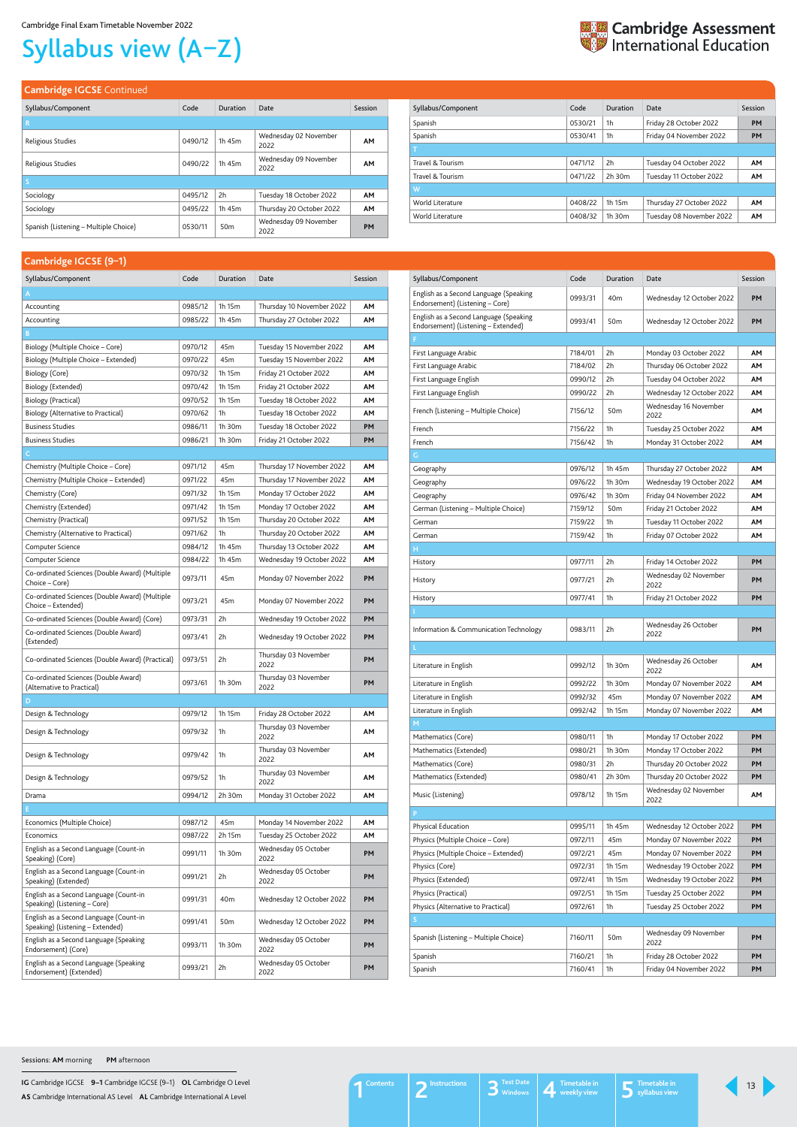**IG** Cambridge IGCSE **9–1** Cambridge IGCSE (9–1) **OL** Cambridge O Level **AS** Cambridge International AS Level **AL** Cambridge International A Level

# Syllabus view (A–Z)



#### **Cambridge IGCSE** Continued

| Syllabus/Component                    | Code    | Duration        | Date                          | Session   |
|---------------------------------------|---------|-----------------|-------------------------------|-----------|
| R                                     |         |                 |                               |           |
| Religious Studies                     | 0490/12 | 1h 45m          | Wednesday 02 November<br>2022 | AM        |
| Religious Studies                     | 0490/22 | 1h 45m          | Wednesday 09 November<br>2022 | <b>AM</b> |
| S                                     |         |                 |                               |           |
| Sociology                             | 0495/12 | 2h              | Tuesday 18 October 2022       | <b>AM</b> |
| Sociology                             | 0495/22 | 1h 45m          | Thursday 20 October 2022      | AM        |
| Spanish (Listening - Multiple Choice) | 0530/11 | 50 <sub>m</sub> | Wednesday 09 November<br>2022 | <b>PM</b> |

| Code    | Duration    | Date                     | Session   |
|---------|-------------|--------------------------|-----------|
| 0530/21 | 1h          | Friday 28 October 2022   | <b>PM</b> |
| 0530/41 | 1h          | Friday 04 November 2022  | <b>PM</b> |
|         |             |                          |           |
| 0471/12 | 2h          | Tuesday 04 October 2022  | <b>AM</b> |
| 0471/22 | 2h 30m      | Tuesday 11 October 2022  | <b>AM</b> |
|         |             |                          |           |
| 0408/22 | 1h 15m      | Thursday 27 October 2022 | <b>AM</b> |
| 0408/32 | $1h$ 30 $m$ | Tuesday 08 November 2022 | <b>AM</b> |
|         |             |                          |           |

#### <span id="page-12-0"></span>**Cambridge IGCSE (9–1)**

| Campridge iOCSE (971)                                                                    |         |             |                                      |           |
|------------------------------------------------------------------------------------------|---------|-------------|--------------------------------------|-----------|
| Syllabus/Component                                                                       | Code    | Duration    | Date                                 | Session   |
| A                                                                                        |         |             |                                      |           |
| Accounting                                                                               | 0985/12 | 1h 15m      | Thursday 10 November 2022            | AΜ        |
| Accounting                                                                               | 0985/22 | 1h 45m      | Thursday 27 October 2022             | AΜ        |
| B                                                                                        |         |             |                                      |           |
| Biology (Multiple Choice – Core)                                                         | 0970/12 | 45m         | Tuesday 15 November 2022             | AΜ        |
| Biology (Multiple Choice - Extended)                                                     | 0970/22 | 45m         | Tuesday 15 November 2022             | AΜ        |
| Biology (Core)                                                                           | 0970/32 | 1h 15m      | Friday 21 October 2022               | AΜ        |
| Biology (Extended)                                                                       | 0970/42 | 1h 15m      | Friday 21 October 2022               | AΜ        |
| Biology (Practical)                                                                      | 0970/52 | 1h 15m      | Tuesday 18 October 2022              | АΜ        |
| Biology (Alternative to Practical)                                                       | 0970/62 | 1h          | Tuesday 18 October 2022              | АΜ        |
| <b>Business Studies</b>                                                                  | 0986/11 | 1h 30m      | Tuesday 18 October 2022              | PM        |
| <b>Business Studies</b>                                                                  | 0986/21 | 1h 30m      | Friday 21 October 2022               | PМ        |
| $\mathsf{C}^{\scriptscriptstyle{+}}$                                                     |         |             |                                      |           |
| Chemistry (Multiple Choice – Core)                                                       | 0971/12 | 45m         | Thursday 17 November 2022            | AΜ        |
| Chemistry (Multiple Choice - Extended)                                                   | 0971/22 | 45m         | Thursday 17 November 2022            | AΜ        |
| Chemistry (Core)                                                                         | 0971/32 | 1h 15m      | Monday 17 October 2022               | АΜ        |
| Chemistry (Extended)                                                                     | 0971/42 | 1h 15m      | Monday 17 October 2022               | АΜ        |
| Chemistry (Practical)                                                                    | 0971/52 | 1h 15m      | Thursday 20 October 2022             | AΜ        |
| Chemistry (Alternative to Practical)                                                     | 0971/62 | 1h          | Thursday 20 October 2022             | АΜ        |
| Computer Science                                                                         | 0984/12 | 1h 45m      | Thursday 13 October 2022             | AΜ        |
| Computer Science                                                                         | 0984/22 | 1h 45m      | Wednesday 19 October 2022            | АΜ        |
|                                                                                          |         |             |                                      |           |
| Co-ordinated Sciences (Double Award) (Multiple<br>Choice – Core)                         | 0973/11 | 45m         | Monday 07 November 2022              | PM        |
| Co-ordinated Sciences (Double Award) (Multiple<br>Choice - Extended)                     | 0973/21 | 45m         | Monday 07 November 2022              | PM        |
| Co-ordinated Sciences (Double Award) (Core)                                              | 0973/31 | 2h          | Wednesday 19 October 2022            | PM        |
| Co-ordinated Sciences (Double Award)<br>(Extended)                                       | 0973/41 | 2h          | Wednesday 19 October 2022            | <b>PM</b> |
| Co-ordinated Sciences (Double Award) (Practical)                                         | 0973/51 | 2h          | Thursday 03 November<br>2022         | PM        |
| Co-ordinated Sciences (Double Award)<br>(Alternative to Practical)                       | 0973/61 | $1h$ 30 $m$ | Thursday 03 November<br>2022         | PM        |
| D                                                                                        |         |             |                                      |           |
| Design & Technology                                                                      | 0979/12 | 1h 15m      | Friday 28 October 2022               | ΑМ        |
| Design & Technology                                                                      | 0979/32 | 1h          | Thursday 03 November<br>2022         | ΑМ        |
| Design & Technology                                                                      | 0979/42 | 1h          | Thursday 03 November<br>2022         | ΑМ        |
| Design & Technology                                                                      | 0979/52 | 1h          | Thursday 03 November<br>2022         | ΑМ        |
| Drama                                                                                    | 0994/12 | 2h 30m      | Monday 31 October 2022               | ΑМ        |
| E.                                                                                       |         |             |                                      |           |
| Economics (Multiple Choice)                                                              | 0987/12 | 45m         | Monday 14 November 2022              | ΑМ        |
| Economics                                                                                | 0987/22 | 2h 15m      | Tuesday 25 October 2022              | ΑМ        |
| English as a Second Language (Count-in<br>Speaking) (Core)                               | 0991/11 | 1h 30m      | Wednesday 05 October<br>2022         | PM        |
| English as a Second Language (Count-in<br>Speaking) (Extended)                           | 0991/21 | 2h          | Wednesday 05 October<br>2022         | PM        |
| English as a Second Language (Count-in<br>Speaking) (Listening - Core)                   | 0991/31 | 40m         | Wednesday 12 October 2022            | <b>PM</b> |
| English as a Second Language (Count-in                                                   | 0991/41 | 50m         | Wednesday 12 October 2022            | <b>PM</b> |
| Speaking) (Listening - Extended)<br>English as a Second Language (Speaking               | 0993/11 | 1h 30m      | Wednesday 05 October                 | PM        |
| Endorsement) (Core)<br>English as a Second Language (Speaking<br>Endorsement) (Extended) | 0993/21 | 2h          | 2022<br>Wednesday 05 October<br>2022 | PM        |

| Syllabus/Component                                                            | Code    | Duration        | Date                          | Session   |
|-------------------------------------------------------------------------------|---------|-----------------|-------------------------------|-----------|
| English as a Second Language (Speaking<br>Endorsement) (Listening - Core)     | 0993/31 | 40m             | Wednesday 12 October 2022     | PМ        |
| English as a Second Language (Speaking<br>Endorsement) (Listening - Extended) | 0993/41 | 50 <sub>m</sub> | Wednesday 12 October 2022     | PM        |
|                                                                               |         |                 |                               |           |
| First Language Arabic                                                         | 7184/01 | 2h              | Monday 03 October 2022        | AΜ        |
| First Language Arabic                                                         | 7184/02 | 2h              | Thursday 06 October 2022      | AΜ        |
| First Language English                                                        | 0990/12 | 2h              | Tuesday 04 October 2022       | AΜ        |
| First Language English                                                        | 0990/22 | 2h              | Wednesday 12 October 2022     | AΜ        |
| French (Listening - Multiple Choice)                                          | 7156/12 | 50 <sub>m</sub> | Wednesday 16 November<br>2022 | AΜ        |
| French                                                                        | 7156/22 | 1h              | Tuesday 25 October 2022       | AΜ        |
| French                                                                        | 7156/42 | 1h              | Monday 31 October 2022        | AΜ        |
| G                                                                             |         |                 |                               |           |
| Geography                                                                     | 0976/12 | 1h 45m          | Thursday 27 October 2022      | AΜ        |
| Geography                                                                     | 0976/22 | 1h 30m          | Wednesday 19 October 2022     | AΜ        |
| Geography                                                                     | 0976/42 | 1h 30m          | Friday 04 November 2022       | AΜ        |
| German (Listening - Multiple Choice)                                          | 7159/12 | 50 <sub>m</sub> | Friday 21 October 2022        | AΜ        |
| German                                                                        | 7159/22 | 1h              | Tuesday 11 October 2022       | AΜ        |
| German                                                                        | 7159/42 | 1h              | Friday 07 October 2022        | AΜ        |
| н                                                                             |         |                 |                               |           |
| History                                                                       | 0977/11 | 2h              | Friday 14 October 2022        | PM        |
| History                                                                       | 0977/21 | 2h              | Wednesday 02 November<br>2022 | PM        |
| History                                                                       | 0977/41 | 1h              | Friday 21 October 2022        | PM        |
|                                                                               |         |                 |                               |           |
| Information & Communication Technology                                        | 0983/11 | 2h              | Wednesday 26 October<br>2022  | PM        |
|                                                                               |         |                 |                               |           |
| Literature in English                                                         | 0992/12 | 1h 30m          | Wednesday 26 October<br>2022  | AΜ        |
| Literature in English                                                         | 0992/22 | $1h$ 30 $m$     | Monday 07 November 2022       | АМ        |
| Literature in English                                                         | 0992/32 | 45m             | Monday 07 November 2022       | ΑМ        |
| Literature in English                                                         | 0992/42 | 1h 15m          | Monday 07 November 2022       | АМ        |
| M                                                                             |         |                 |                               |           |
| Mathematics (Core)                                                            | 0980/11 | 1h              | Monday 17 October 2022        | PM        |
| Mathematics (Extended)                                                        | 0980/21 | 1h 30m          | Monday 17 October 2022        | PM        |
| Mathematics (Core)                                                            | 0980/31 | 2h              | Thursday 20 October 2022      | PМ        |
| Mathematics (Extended)                                                        | 0980/41 | 2h 30m          | Thursday 20 October 2022      | PM        |
| Music (Listening)                                                             | 0978/12 | 1h 15m          | Wednesday 02 November<br>2022 | АМ        |
| P                                                                             |         |                 |                               |           |
| Physical Education                                                            | 0995/11 | 1h 45m          | Wednesday 12 October 2022     | PM        |
| Physics (Multiple Choice – Core)                                              | 0972/11 | 45m             | Monday 07 November 2022       | PM        |
| Physics (Multiple Choice - Extended)                                          | 0972/21 | 45m             | Monday 07 November 2022       | PM        |
| Physics (Core)                                                                | 0972/31 | 1h 15m          | Wednesday 19 October 2022     | PM        |
| Physics (Extended)                                                            | 0972/41 | 1h 15m          | Wednesday 19 October 2022     | PM        |
| Physics (Practical)                                                           | 0972/51 | 1h 15m          | Tuesday 25 October 2022       | PM        |
| Physics (Alternative to Practical)                                            | 0972/61 | 1h              | Tuesday 25 October 2022       | PM        |
| S                                                                             |         |                 |                               |           |
| Spanish (Listening - Multiple Choice)                                         | 7160/11 | 50 <sub>m</sub> | Wednesday 09 November<br>2022 | PM        |
| Spanish                                                                       | 7160/21 | 1h              | Friday 28 October 2022        | <b>PM</b> |
| Spanish                                                                       | 7160/41 | 1h              | Friday 04 November 2022       | PM        |

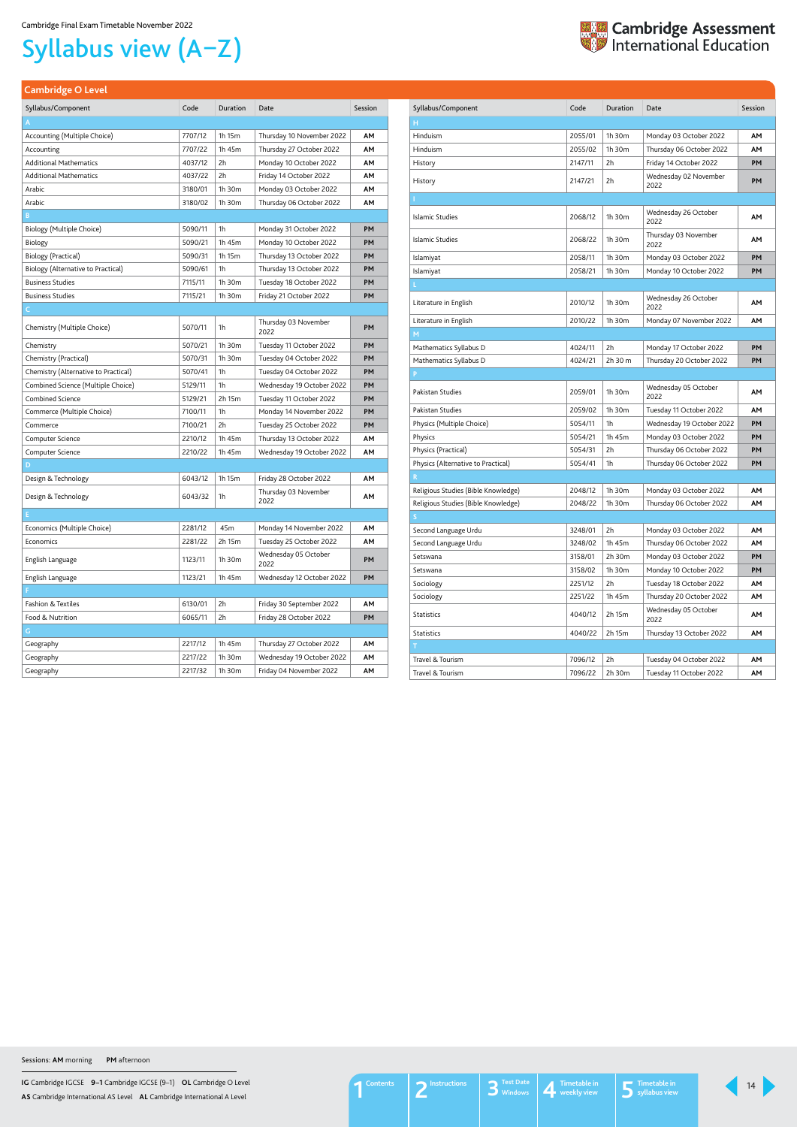**IG** Cambridge IGCSE **9–1** Cambridge IGCSE (9–1) **OL** Cambridge O Level **AS** Cambridge International AS Level **AL** Cambridge International A Level

# Syllabus view (A–Z)



<span id="page-13-0"></span>

|  |  | <b>Cambridge O Level</b> |
|--|--|--------------------------|
|  |  |                          |
|  |  |                          |

| Syllabus/Component                  | Code    | Duration | Date                          | Session   |
|-------------------------------------|---------|----------|-------------------------------|-----------|
| н                                   |         |          |                               |           |
| Hinduism                            | 2055/01 | 1h 30m   | Monday 03 October 2022        | AM        |
| Hinduism                            | 2055/02 | 1h 30m   | Thursday 06 October 2022      | AМ        |
| History                             | 2147/11 | 2h       | Friday 14 October 2022        | <b>PM</b> |
| History                             | 2147/21 | 2h       | Wednesday 02 November<br>2022 | <b>PM</b> |
|                                     |         |          |                               |           |
| Islamic Studies                     | 2068/12 | 1h 30m   | Wednesday 26 October<br>2022  | AΜ        |
| Islamic Studies                     | 2068/22 | 1h 30m   | Thursday 03 November<br>2022  | AΜ        |
| Islamiyat                           | 2058/11 | 1h 30m   | Monday 03 October 2022        | PM        |
| Islamiyat                           | 2058/21 | 1h 30m   | Monday 10 October 2022        | PM        |
|                                     |         |          |                               |           |
| Literature in English               | 2010/12 | 1h 30m   | Wednesday 26 October<br>2022  | <b>AM</b> |
| Literature in English               | 2010/22 | 1h 30m   | Monday 07 November 2022       | AΜ        |
| м                                   |         |          |                               |           |
| Mathematics Syllabus D              | 4024/11 | 2h       | Monday 17 October 2022        | <b>PM</b> |
| Mathematics Syllabus D              | 4024/21 | 2h 30 m  | Thursday 20 October 2022      | PM        |
| P                                   |         |          |                               |           |
| Pakistan Studies                    | 2059/01 | 1h 30m   | Wednesday 05 October<br>2022  | AM        |
| Pakistan Studies                    | 2059/02 | 1h 30m   | Tuesday 11 October 2022       | AM        |
| Physics (Multiple Choice)           | 5054/11 | 1h       | Wednesday 19 October 2022     | <b>PM</b> |
| Physics                             | 5054/21 | 1h 45m   | Monday 03 October 2022        | PM        |
| Physics (Practical)                 | 5054/31 | 2h       | Thursday 06 October 2022      | PM        |
| Physics (Alternative to Practical)  | 5054/41 | 1h       | Thursday 06 October 2022      | <b>PM</b> |
| $\mathsf{R}$                        |         |          |                               |           |
| Religious Studies (Bible Knowledge) | 2048/12 | 1h 30m   | Monday 03 October 2022        | AΜ        |
| Religious Studies (Bible Knowledge) | 2048/22 | 1h 30m   | Thursday 06 October 2022      | AΜ        |
| S                                   |         |          |                               |           |
| Second Language Urdu                | 3248/01 | 2h       | Monday 03 October 2022        | ΑМ        |
| Second Language Urdu                | 3248/02 | 1h 45m   | Thursday 06 October 2022      | ΑМ        |
| Setswana                            | 3158/01 | 2h 30m   | Monday 03 October 2022        | PM        |
| Setswana                            | 3158/02 | 1h 30m   | Monday 10 October 2022        | PM        |
| Sociology                           | 2251/12 | 2h       | Tuesday 18 October 2022       | ΑМ        |
| Sociology                           | 2251/22 | 1h 45m   | Thursday 20 October 2022      | ΑМ        |
| Statistics                          | 4040/12 | 2h 15m   | Wednesday 05 October<br>2022  | ΑМ        |
| Statistics                          | 4040/22 | 2h 15m   | Thursday 13 October 2022      | AΜ        |
| T,                                  |         |          |                               |           |
| Travel & Tourism                    | 7096/12 | 2h       | Tuesday 04 October 2022       | ΑМ        |
| Travel & Tourism                    | 7096/22 | 2h 30m   | Tuesday 11 October 2022       | AΜ        |

| Syllabus/Component                   | Code    | <b>Duration</b> | Date                         | Session   |
|--------------------------------------|---------|-----------------|------------------------------|-----------|
| A                                    |         |                 |                              |           |
| Accounting (Multiple Choice)         | 7707/12 | 1h 15m          | Thursday 10 November 2022    | AΜ        |
| Accounting                           | 7707/22 | 1h 45m          | Thursday 27 October 2022     | AΜ        |
| <b>Additional Mathematics</b>        | 4037/12 | 2h              | Monday 10 October 2022       | АΜ        |
| <b>Additional Mathematics</b>        | 4037/22 | 2h              | Friday 14 October 2022       | AΜ        |
| Arabic                               | 3180/01 | 1h 30m          | Monday 03 October 2022       | AΜ        |
| Arabic                               | 3180/02 | 1h 30m          | Thursday 06 October 2022     | АΜ        |
| B                                    |         |                 |                              |           |
| Biology (Multiple Choice)            | 5090/11 | 1h              | Monday 31 October 2022       | <b>PM</b> |
| Biology                              | 5090/21 | 1h 45m          | Monday 10 October 2022       | <b>PM</b> |
| Biology (Practical)                  | 5090/31 | 1h 15m          | Thursday 13 October 2022     | <b>PM</b> |
| Biology (Alternative to Practical)   | 5090/61 | 1h              | Thursday 13 October 2022     | PM        |
| <b>Business Studies</b>              | 7115/11 | 1h 30m          | Tuesday 18 October 2022      | PМ        |
| <b>Business Studies</b>              | 7115/21 | 1h 30m          | Friday 21 October 2022       | <b>PM</b> |
| C.                                   |         |                 |                              |           |
| Chemistry (Multiple Choice)          | 5070/11 | 1h              | Thursday 03 November<br>2022 | PM        |
| Chemistry                            | 5070/21 | 1h 30m          | Tuesday 11 October 2022      | <b>PM</b> |
| Chemistry (Practical)                | 5070/31 | 1h 30m          | Tuesday 04 October 2022      | <b>PM</b> |
| Chemistry (Alternative to Practical) | 5070/41 | 1h              | Tuesday 04 October 2022      | <b>PM</b> |
| Combined Science (Multiple Choice)   | 5129/11 | 1h              | Wednesday 19 October 2022    | PM        |
| <b>Combined Science</b>              | 5129/21 | 2h 15m          | Tuesday 11 October 2022      | PM        |
| Commerce (Multiple Choice)           | 7100/11 | 1h              | Monday 14 November 2022      | PM        |
| Commerce                             | 7100/21 | 2h              | Tuesday 25 October 2022      | PM        |
| Computer Science                     | 2210/12 | 1h 45m          | Thursday 13 October 2022     | AΜ        |
| Computer Science                     | 2210/22 | 1h 45m          | Wednesday 19 October 2022    | ΑМ        |
| D                                    |         |                 |                              |           |
| Design & Technology                  | 6043/12 | 1h 15m          | Friday 28 October 2022       | AM        |
| Design & Technology                  | 6043/32 | 1h              | Thursday 03 November<br>2022 | AM        |
|                                      |         |                 |                              |           |
| Economics (Multiple Choice)          | 2281/12 | 45m             | Monday 14 November 2022      | ΑМ        |
| Economics                            | 2281/22 | 2h 15m          | Tuesday 25 October 2022      | ΑМ        |
| English Language                     | 1123/11 | 1h 30m          | Wednesday 05 October<br>2022 | PM        |
| English Language                     | 1123/21 | 1h 45m          | Wednesday 12 October 2022    | <b>PM</b> |
| F                                    |         |                 |                              |           |
| Fashion & Textiles                   | 6130/01 | 2h              | Friday 30 September 2022     | АМ        |
| Food & Nutrition                     | 6065/11 | 2h              | Friday 28 October 2022       | <b>PM</b> |
| G                                    |         |                 |                              |           |
| Geography                            | 2217/12 | 1h 45m          | Thursday 27 October 2022     | АМ        |
| Geography                            | 2217/22 | 1h 30m          | Wednesday 19 October 2022    | АМ        |
| Geography                            | 2217/32 | 1h 30m          | Friday 04 November 2022      | АМ        |
|                                      |         |                 |                              |           |

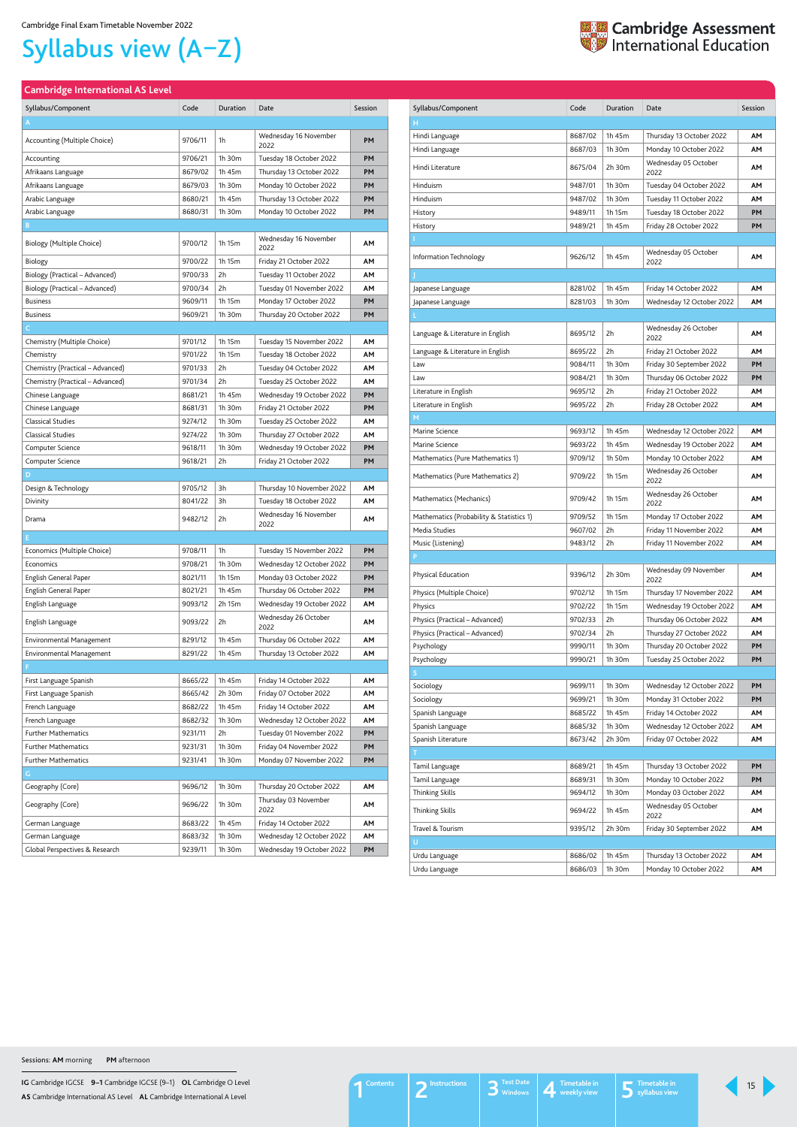**IG** Cambridge IGCSE **9–1** Cambridge IGCSE (9–1) **OL** Cambridge O Level **AS** Cambridge International AS Level **AL** Cambridge International A Level

#### <span id="page-14-0"></span>**Cambridge International AS Level**

| Syllabus/Component               | Code    | Duration    | Date                          | Session   |
|----------------------------------|---------|-------------|-------------------------------|-----------|
| A                                |         |             |                               |           |
| Accounting (Multiple Choice)     | 9706/11 | 1h          | Wednesday 16 November<br>2022 | <b>PM</b> |
| Accounting                       | 9706/21 | 1h 30m      | Tuesday 18 October 2022       | <b>PM</b> |
| Afrikaans Language               | 8679/02 | 1h 45m      | Thursday 13 October 2022      | PМ        |
| Afrikaans Language               | 8679/03 | 1h 30m      | Monday 10 October 2022        | <b>PM</b> |
| Arabic Language                  | 8680/21 | 1h 45m      | Thursday 13 October 2022      | <b>PM</b> |
| Arabic Language                  | 8680/31 | 1h 30m      | Monday 10 October 2022        | PM        |
| B                                |         |             |                               |           |
| Biology (Multiple Choice)        | 9700/12 | 1h 15m      | Wednesday 16 November<br>2022 | ΑМ        |
| Biology                          | 9700/22 | 1h 15m      | Friday 21 October 2022        | AΜ        |
| Biology (Practical – Advanced)   | 9700/33 | 2h          | Tuesday 11 October 2022       | AΜ        |
| Biology (Practical - Advanced)   | 9700/34 | 2h          | Tuesday 01 November 2022      | AΜ        |
| <b>Business</b>                  | 9609/11 | 1h 15m      | Monday 17 October 2022        | PM        |
| <b>Business</b>                  | 9609/21 | 1h 30m      | Thursday 20 October 2022      | PM        |
| C.                               |         |             |                               |           |
| Chemistry (Multiple Choice)      | 9701/12 | 1h 15m      | Tuesday 15 November 2022      | AΜ        |
| Chemistry                        | 9701/22 | 1h 15m      | Tuesday 18 October 2022       | ΑМ        |
| Chemistry (Practical - Advanced) | 9701/33 | 2h          | Tuesday 04 October 2022       | AΜ        |
| Chemistry (Practical - Advanced) | 9701/34 | 2h          | Tuesday 25 October 2022       | AΜ        |
| Chinese Language                 | 8681/21 | 1h 45m      | Wednesday 19 October 2022     | PM        |
| Chinese Language                 | 8681/31 | 1h 30m      | Friday 21 October 2022        | PM        |
| <b>Classical Studies</b>         | 9274/12 | 1h 30m      | Tuesday 25 October 2022       | ΑМ        |
| <b>Classical Studies</b>         | 9274/22 | $1h$ 30 $m$ | Thursday 27 October 2022      | AΜ        |
| Computer Science                 | 9618/11 | 1h 30m      | Wednesday 19 October 2022     | <b>PM</b> |
| Computer Science                 | 9618/21 | 2h          | Friday 21 October 2022        | PM        |
| D                                |         |             |                               |           |
| Design & Technology              | 9705/12 | 3h          | Thursday 10 November 2022     | AΜ        |
| Divinity                         | 8041/22 | 3h          | Tuesday 18 October 2022       | ΑМ        |
| Drama                            | 9482/12 | 2h          | Wednesday 16 November<br>2022 | АМ        |
| E.                               |         |             |                               |           |
| Economics (Multiple Choice)      | 9708/11 | 1h          | Tuesday 15 November 2022      | <b>PM</b> |
| Economics                        | 9708/21 | 1h 30m      | Wednesday 12 October 2022     | PM        |
| English General Paper            | 8021/11 | 1h 15m      | Monday 03 October 2022        | <b>PM</b> |
| English General Paper            | 8021/21 | 1h 45m      | Thursday 06 October 2022      | PM        |
| English Language                 | 9093/12 | 2h 15m      | Wednesday 19 October 2022     | AΜ        |
| English Language                 | 9093/22 | 2h          | Wednesday 26 October<br>2022  | ΑМ        |
| <b>Environmental Management</b>  | 8291/12 | 1h 45m      | Thursday 06 October 2022      | AΜ        |
| <b>Environmental Management</b>  | 8291/22 | 1h 45m      | Thursday 13 October 2022      | ΑМ        |
| F.                               |         |             |                               |           |
| First Language Spanish           | 8665/22 | 1h 45m      | Friday 14 October 2022        | AΜ        |
| First Language Spanish           | 8665/42 | 2h 30m      | Friday 07 October 2022        | AΜ        |
| French Language                  | 8682/22 | 1h 45m      | Friday 14 October 2022        | AΜ        |
| French Language                  | 8682/32 | 1h 30m      | Wednesday 12 October 2022     | ΑМ        |
| <b>Further Mathematics</b>       | 9231/11 | 2h          | Tuesday 01 November 2022      | PM        |
| <b>Further Mathematics</b>       | 9231/31 | 1h 30m      | Friday 04 November 2022       | PM        |
| <b>Further Mathematics</b>       | 9231/41 | 1h 30m      | Monday 07 November 2022       | PM        |
| G.                               |         |             |                               |           |
| Geography (Core)                 | 9696/12 | 1h 30m      | Thursday 20 October 2022      | AΜ        |
| Geography (Core)                 | 9696/22 | 1h 30m      | Thursday 03 November<br>2022  | AΜ        |
| German Language                  | 8683/22 | 1h 45m      | Friday 14 October 2022        | AΜ        |
| German Language                  | 8683/32 | 1h 30m      | Wednesday 12 October 2022     | AΜ        |
| Global Perspectives & Research   | 9239/11 | 1h 30m      | Wednesday 19 October 2022     | PM        |

**H**

**M**



**P**

**T**

Travel & Tourism 9395/12 2h 30m Friday 30 September 2022 **AM**

**U**

| Urdu Language | $8686/02$   1h 45m | Thursday 13 October 2022 | ΑМ |
|---------------|--------------------|--------------------------|----|
| Urdu Language | $8686/03$   1h 30m | Monday 10 October 2022   | АΜ |

# Syllabus view (A–Z)